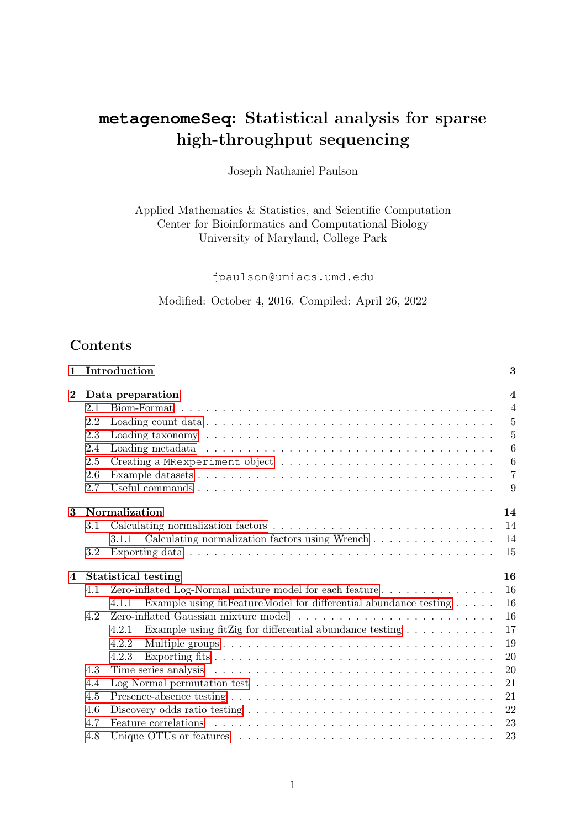# **metagenomeSeq**: Statistical analysis for sparse high-throughput sequencing

Joseph Nathaniel Paulson

Applied Mathematics & Statistics, and Scientific Computation Center for Bioinformatics and Computational Biology University of Maryland, College Park

jpaulson@umiacs.umd.edu

Modified: October 4, 2016. Compiled: April 26, 2022

# **Contents**

| 1        |     | Introduction                                                                         | 3                       |
|----------|-----|--------------------------------------------------------------------------------------|-------------------------|
| $\bf{2}$ |     | Data preparation                                                                     | $\overline{\mathbf{4}}$ |
|          | 2.1 |                                                                                      | $\overline{4}$          |
|          | 2.2 |                                                                                      | 5                       |
|          | 2.3 |                                                                                      | 5                       |
|          | 2.4 |                                                                                      | 6                       |
|          | 2.5 |                                                                                      | $6\phantom{.}6$         |
|          | 2.6 |                                                                                      | $\overline{7}$          |
|          | 2.7 |                                                                                      | 9                       |
| 3        |     | <b>Normalization</b>                                                                 | 14                      |
|          | 3.1 |                                                                                      | 14                      |
|          |     | Calculating normalization factors using Wrench<br>3.1.1                              | 14                      |
|          | 3.2 |                                                                                      | 15                      |
| 4        |     | <b>Statistical testing</b>                                                           | 16                      |
|          | 4.1 | Zero-inflated Log-Normal mixture model for each feature                              | 16                      |
|          |     | Example using fitFeatureModel for differential abundance testing<br>4.1.1            | 16                      |
|          | 4.2 |                                                                                      | 16                      |
|          |     | Example using fitZig for differential abundance testing $\dots \dots \dots$<br>4.2.1 | 17                      |
|          |     | 4.2.2                                                                                | 19                      |
|          |     | 4.2.3                                                                                | 20                      |
|          | 4.3 |                                                                                      | 20                      |
|          | 4.4 |                                                                                      | 21                      |
|          | 4.5 |                                                                                      | 21                      |
|          | 4.6 |                                                                                      | 22                      |
|          | 4.7 | Feature correlations                                                                 | 23                      |
|          | 4.8 |                                                                                      | 23                      |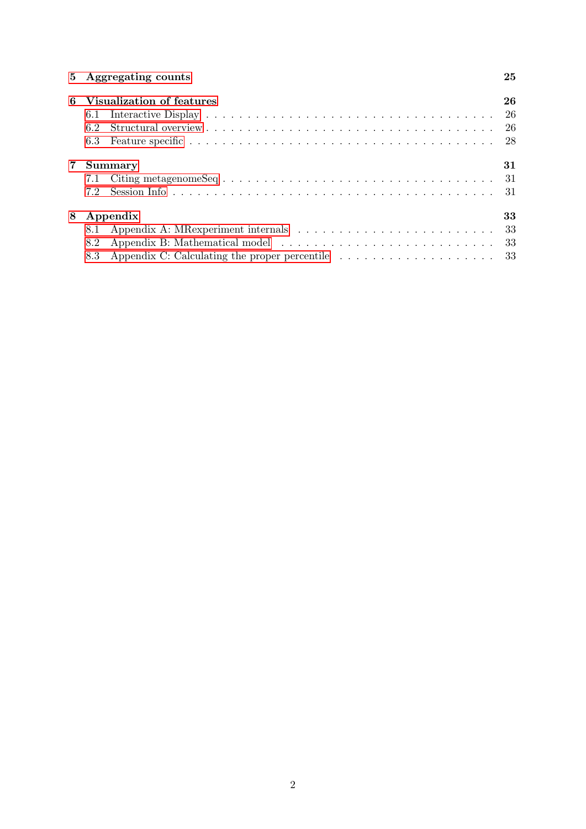# [5 Aggregating counts](#page-24-0) 25

| 6            | Visualization of features | 26 |
|--------------|---------------------------|----|
|              |                           |    |
|              | 6.2                       |    |
|              |                           |    |
| $\mathbf{7}$ | Summary                   | 31 |
|              |                           |    |
|              |                           |    |
| 8            | Appendix                  | 33 |
|              | 8.1                       |    |
|              | 8.2                       |    |
|              |                           |    |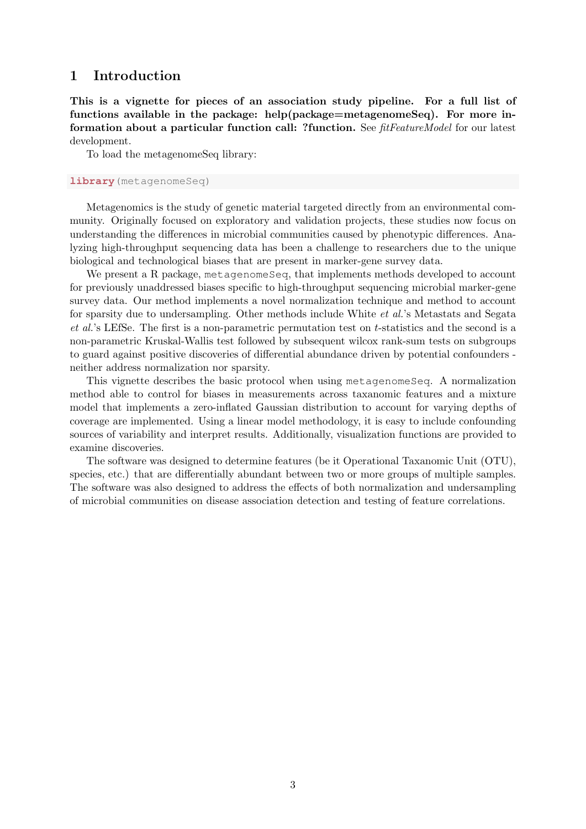# <span id="page-2-0"></span>1 Introduction

This is a vignette for pieces of an association study pipeline. For a full list of functions available in the package: help(package=metagenomeSeq). For more information about a particular function call: ?function. See *fitFeatureModel* for our latest development.

To load the metagenomeSeq library:

#### **library**(metagenomeSeq)

Metagenomics is the study of genetic material targeted directly from an environmental community. Originally focused on exploratory and validation projects, these studies now focus on understanding the differences in microbial communities caused by phenotypic differences. Analyzing high-throughput sequencing data has been a challenge to researchers due to the unique biological and technological biases that are present in marker-gene survey data.

We present a R package, metagenomeSeq, that implements methods developed to account for previously unaddressed biases specific to high-throughput sequencing microbial marker-gene survey data. Our method implements a novel normalization technique and method to account for sparsity due to undersampling. Other methods include White et al.'s Metastats and Segata et al.'s LEfSe. The first is a non-parametric permutation test on t-statistics and the second is a non-parametric Kruskal-Wallis test followed by subsequent wilcox rank-sum tests on subgroups to guard against positive discoveries of differential abundance driven by potential confounders neither address normalization nor sparsity.

This vignette describes the basic protocol when using metagenomeSeq. A normalization method able to control for biases in measurements across taxanomic features and a mixture model that implements a zero-inflated Gaussian distribution to account for varying depths of coverage are implemented. Using a linear model methodology, it is easy to include confounding sources of variability and interpret results. Additionally, visualization functions are provided to examine discoveries.

The software was designed to determine features (be it Operational Taxanomic Unit (OTU), species, etc.) that are differentially abundant between two or more groups of multiple samples. The software was also designed to address the effects of both normalization and undersampling of microbial communities on disease association detection and testing of feature correlations.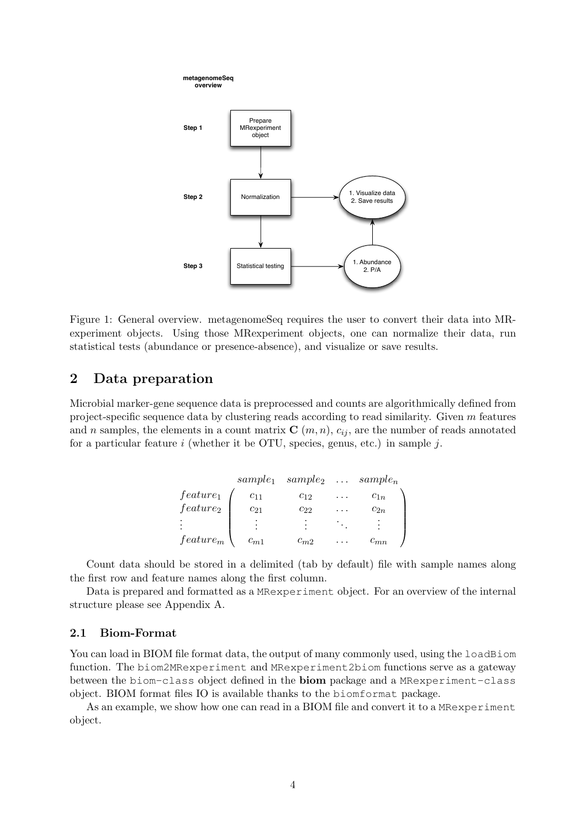

Figure 1: General overview. metagenomeSeq requires the user to convert their data into MRexperiment objects. Using those MRexperiment objects, one can normalize their data, run statistical tests (abundance or presence-absence), and visualize or save results.

# <span id="page-3-0"></span>2 Data preparation

Microbial marker-gene sequence data is preprocessed and counts are algorithmically defined from project-specific sequence data by clustering reads according to read similarity. Given m features and n samples, the elements in a count matrix  $C(m, n)$ ,  $c_{ij}$ , are the number of reads annotated for a particular feature i (whether it be OTU, species, genus, etc.) in sample j.

|                      | $sample_1$ | sample <sub>2</sub> sample <sub>n</sub> |   |          |
|----------------------|------------|-----------------------------------------|---|----------|
| $feature_1$          | $c_{11}$   | $C_{12}$                                | . | $c_{1n}$ |
| feature <sub>2</sub> | $c_{21}$   | $c_{22}$                                | . | $c_{2n}$ |
|                      |            |                                         |   |          |
| $feature_m$          | $c_{m1}$   | $c_{m2}$                                |   | $c_{mn}$ |

Count data should be stored in a delimited (tab by default) file with sample names along the first row and feature names along the first column.

Data is prepared and formatted as a MRexperiment object. For an overview of the internal structure please see Appendix A.

### <span id="page-3-1"></span>2.1 Biom-Format

You can load in BIOM file format data, the output of many commonly used, using the loadBiom function. The biom2MRexperiment and MRexperiment2biom functions serve as a gateway between the biom-class object defined in the biom package and a MRexperiment-class object. BIOM format files IO is available thanks to the biomformat package.

As an example, we show how one can read in a BIOM file and convert it to a MRexperiment object.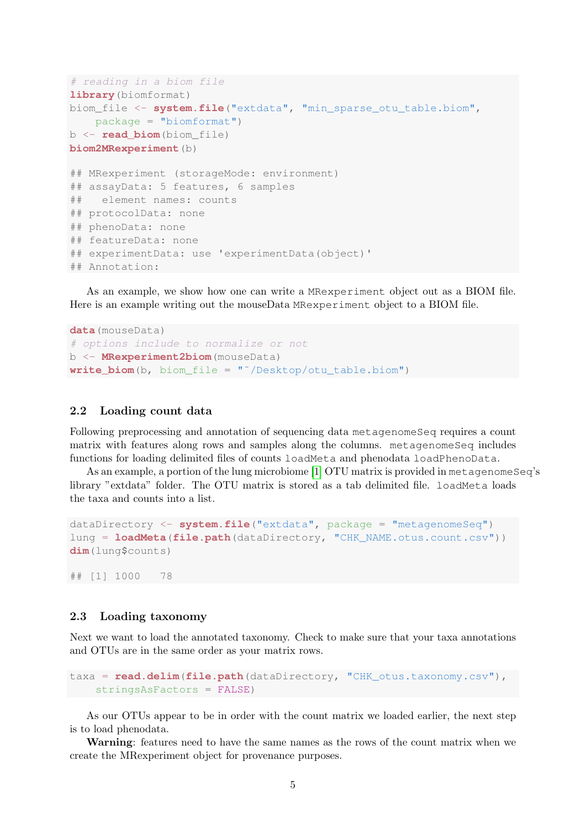```
# reading in a biom file
library(biomformat)
biom_file <- system.file("extdata", "min_sparse_otu_table.biom",
    package = "biomformat")
b <- read_biom(biom_file)
biom2MRexperiment(b)
## MRexperiment (storageMode: environment)
## assayData: 5 features, 6 samples
## element names: counts
## protocolData: none
## phenoData: none
## featureData: none
## experimentData: use 'experimentData(object)'
## Annotation:
```
As an example, we show how one can write a MRexperiment object out as a BIOM file. Here is an example writing out the mouseData MRexperiment object to a BIOM file.

```
data(mouseData)
# options include to normalize or not
b <- MRexperiment2biom(mouseData)
write_biom(b, biom_file = "˜/Desktop/otu_table.biom")
```
#### <span id="page-4-0"></span>2.2 Loading count data

Following preprocessing and annotation of sequencing data metagenomeSeq requires a count matrix with features along rows and samples along the columns. metagenomeSeq includes functions for loading delimited files of counts loadMeta and phenodata loadPhenoData.

As an example, a portion of the lung microbiome [\[1\]](#page-34-0) OTU matrix is provided in metagenomeSeq's library "extdata" folder. The OTU matrix is stored as a tab delimited file. loadMeta loads the taxa and counts into a list.

```
dataDirectory <- system.file("extdata", package = "metagenomeSeq")
lung = loadMeta(file.path(dataDirectory, "CHK_NAME.otus.count.csv"))
dim(lung$counts)
```
## [1] 1000 78

#### <span id="page-4-1"></span>2.3 Loading taxonomy

Next we want to load the annotated taxonomy. Check to make sure that your taxa annotations and OTUs are in the same order as your matrix rows.

```
taxa = read.delim(file.path(dataDirectory, "CHK_otus.taxonomy.csv"),
    stringsAsFactors = FALSE)
```
As our OTUs appear to be in order with the count matrix we loaded earlier, the next step is to load phenodata.

Warning: features need to have the same names as the rows of the count matrix when we create the MRexperiment object for provenance purposes.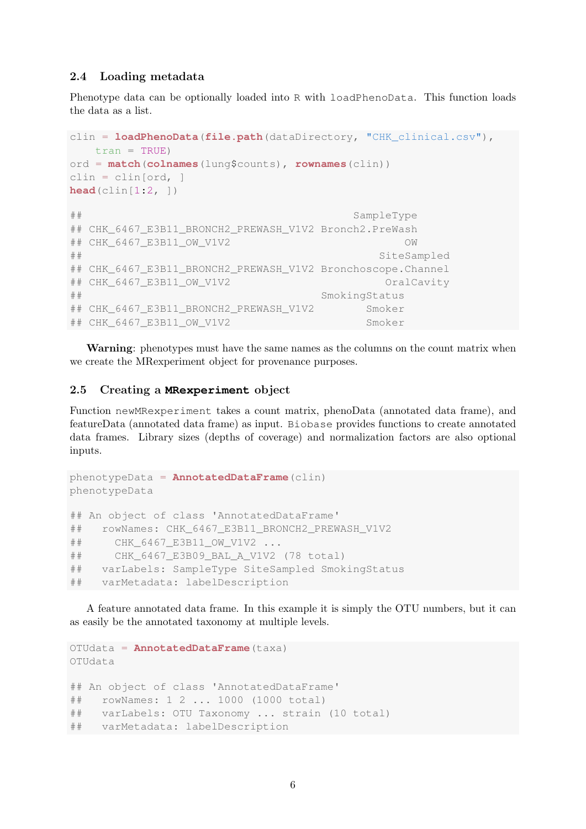### <span id="page-5-0"></span>2.4 Loading metadata

Phenotype data can be optionally loaded into R with loadPhenoData. This function loads the data as a list.

```
clin = loadPhenoData(file.path(dataDirectory, "CHK_clinical.csv"),
  tran = TRUE)
ord = match(colnames(lung$counts), rownames(clin))
clin = clin[ord, 1]head(clin[1:2, ])
## SampleType
## CHK 6467 E3B11 BRONCH2 PREWASH V1V2 Bronch2.PreWash
## CHK_6467_E3B11_OW_V1V2 OW
## SiteSampled
## CHK_6467_E3B11_BRONCH2_PREWASH_V1V2 Bronchoscope.Channel
## CHK_6467_E3B11_OW_V1V2 OralCavity
## SmokingStatus
## CHK 6467 E3B11 BRONCH2 PREWASH V1V2 Smoker
## CHK_6467_E3B11_OW_V1V2 Smoker
```
Warning: phenotypes must have the same names as the columns on the count matrix when we create the MRexperiment object for provenance purposes.

### <span id="page-5-1"></span>2.5 Creating a **MRexperiment** object

Function newMRexperiment takes a count matrix, phenoData (annotated data frame), and featureData (annotated data frame) as input. Biobase provides functions to create annotated data frames. Library sizes (depths of coverage) and normalization factors are also optional inputs.

```
phenotypeData = AnnotatedDataFrame(clin)
phenotypeData
## An object of class 'AnnotatedDataFrame'
## rowNames: CHK_6467_E3B11_BRONCH2_PREWASH_V1V2
## CHK_6467_E3B11_OW_V1V2 ...
## CHK 6467 E3B09 BAL A V1V2 (78 total)
## varLabels: SampleType SiteSampled SmokingStatus
## varMetadata: labelDescription
```
A feature annotated data frame. In this example it is simply the OTU numbers, but it can as easily be the annotated taxonomy at multiple levels.

```
OTUdata = AnnotatedDataFrame(taxa)
OTUdata
## An object of class 'AnnotatedDataFrame'
## rowNames: 1 2 ... 1000 (1000 total)
## varLabels: OTU Taxonomy ... strain (10 total)
## varMetadata: labelDescription
```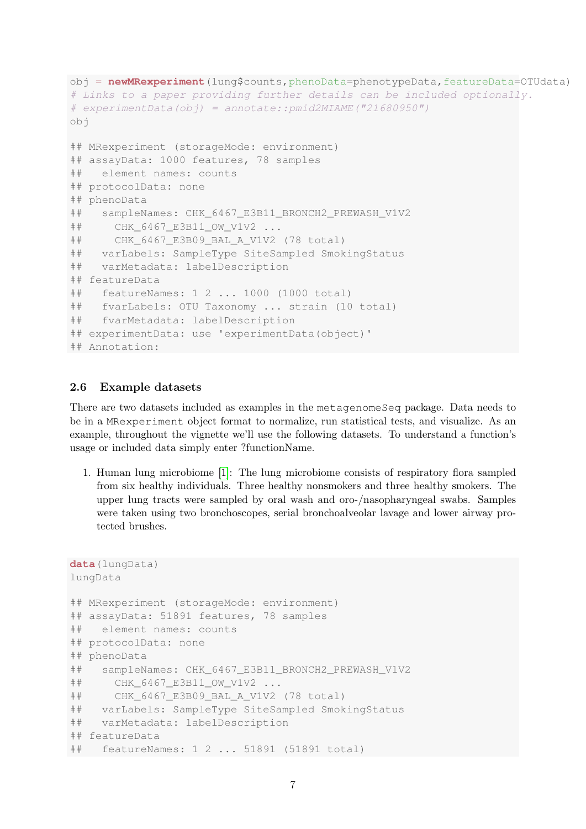```
obj = newMRexperiment(lung$counts,phenoData=phenotypeData,featureData=OTUdata)
# Links to a paper providing further details can be included optionally.
# experimentData(obj) = annotate:: pmid2MIAME('21680950")obj
## MRexperiment (storageMode: environment)
## assayData: 1000 features, 78 samples
## element names: counts
## protocolData: none
## phenoData
## sampleNames: CHK_6467_E3B11_BRONCH2_PREWASH_V1V2
## CHK_6467_E3B11_OW_V1V2 ...
## CHK_6467_E3B09_BAL_A_V1V2 (78 total)
## varLabels: SampleType SiteSampled SmokingStatus
## varMetadata: labelDescription
## featureData
## featureNames: 1 2 ... 1000 (1000 total)
## fvarLabels: OTU Taxonomy ... strain (10 total)
## fvarMetadata: labelDescription
## experimentData: use 'experimentData(object)'
## Annotation:
```
# <span id="page-6-0"></span>2.6 Example datasets

There are two datasets included as examples in the metagenomeSeq package. Data needs to be in a MRexperiment object format to normalize, run statistical tests, and visualize. As an example, throughout the vignette we'll use the following datasets. To understand a function's usage or included data simply enter ?functionName.

1. Human lung microbiome [\[1\]](#page-34-0): The lung microbiome consists of respiratory flora sampled from six healthy individuals. Three healthy nonsmokers and three healthy smokers. The upper lung tracts were sampled by oral wash and oro-/nasopharyngeal swabs. Samples were taken using two bronchoscopes, serial bronchoalveolar lavage and lower airway protected brushes.

```
data(lungData)
lungData
## MRexperiment (storageMode: environment)
## assayData: 51891 features, 78 samples
## element names: counts
## protocolData: none
## phenoData
## sampleNames: CHK_6467_E3B11_BRONCH2_PREWASH_V1V2
## CHK 6467 E3B11 OW V1V2 ...
## CHK_6467_E3B09_BAL_A_V1V2 (78 total)
## varLabels: SampleType SiteSampled SmokingStatus
## varMetadata: labelDescription
## featureData
## featureNames: 1 2 ... 51891 (51891 total)
```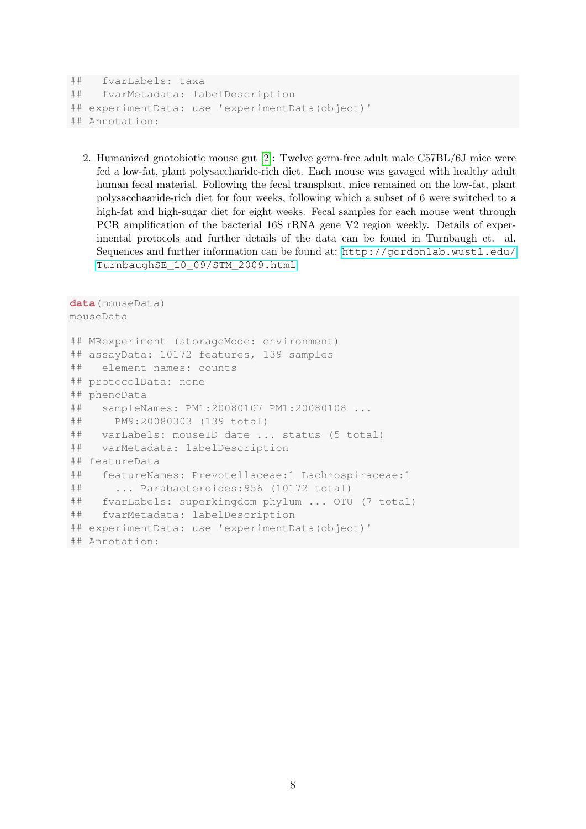```
## fvarLabels: taxa
## fvarMetadata: labelDescription
## experimentData: use 'experimentData(object)'
## Annotation:
```
2. Humanized gnotobiotic mouse gut [\[2\]](#page-34-1): Twelve germ-free adult male C57BL/6J mice were fed a low-fat, plant polysaccharide-rich diet. Each mouse was gavaged with healthy adult human fecal material. Following the fecal transplant, mice remained on the low-fat, plant polysacchaaride-rich diet for four weeks, following which a subset of 6 were switched to a high-fat and high-sugar diet for eight weeks. Fecal samples for each mouse went through PCR amplification of the bacterial 16S rRNA gene V2 region weekly. Details of experimental protocols and further details of the data can be found in Turnbaugh et. al. Sequences and further information can be found at: [http://gordonlab.wustl.edu/](http://gordonlab.wustl.edu/TurnbaughSE_10_09/STM_2009.html) [TurnbaughSE\\_10\\_09/STM\\_2009.html](http://gordonlab.wustl.edu/TurnbaughSE_10_09/STM_2009.html)

```
data(mouseData)
mouseData
## MRexperiment (storageMode: environment)
## assayData: 10172 features, 139 samples
## element names: counts
## protocolData: none
## phenoData
## sampleNames: PM1:20080107 PM1:20080108 ...
## PM9:20080303 (139 total)
## varLabels: mouseID date ... status (5 total)
## varMetadata: labelDescription
## featureData
## featureNames: Prevotellaceae:1 Lachnospiraceae:1
## ... Parabacteroides:956 (10172 total)
## fvarLabels: superkingdom phylum ... OTU (7 total)
## fvarMetadata: labelDescription
## experimentData: use 'experimentData(object)'
## Annotation:
```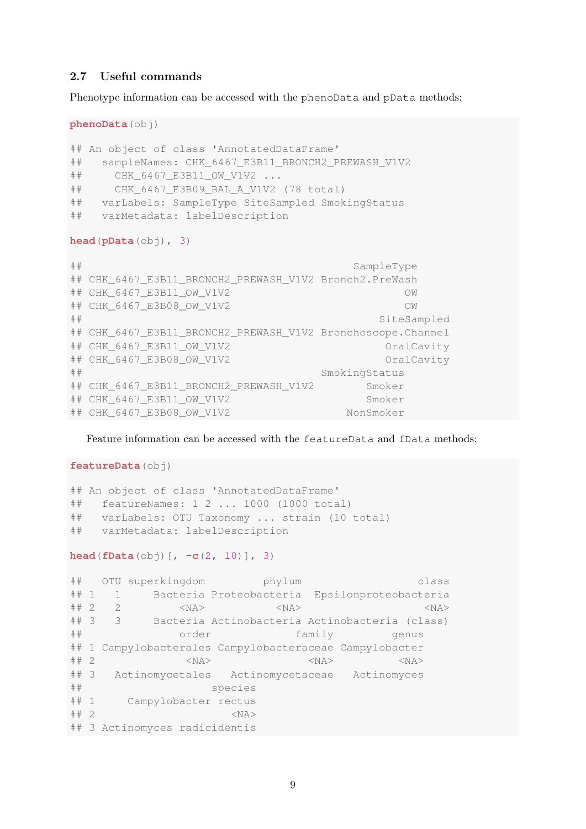### <span id="page-8-0"></span>2.7 Useful commands

Phenotype information can be accessed with the phenoData and pData methods:

```
phenoData(obj)
## An object of class 'AnnotatedDataFrame'
## sampleNames: CHK 6467 E3B11 BRONCH2 PREWASH_V1V2
## CHK_6467_E3B11_OW_V1V2 ...
## CHK_6467_E3B09_BAL_A_V1V2 (78 total)
## varLabels: SampleType SiteSampled SmokingStatus
## varMetadata: labelDescription
head(pData(obj), 3)
## SampleType
## CHK_6467_E3B11_BRONCH2_PREWASH_V1V2 Bronch2.PreWash
## CHK_6467_E3B11_OW_V1V2 OW
## CHK_6467_E3B08_OW_V1V2 OW
## SiteSampled
## CHK_6467_E3B11_BRONCH2_PREWASH_V1V2 Bronchoscope.Channel
## CHK_6467_E3B11_OW_V1V2 OralCavity
## CHK 6467 E3B08 OW V1V2 OralCavity
## SmokingStatus
## CHK 6467 E3B11 BRONCH2 PREWASH V1V2 Smoker
## CHK_6467_E3B11_OW_V1V2 Smoker
## CHK_6467_E3B08_OW_V1V2 NonSmoker
```
Feature information can be accessed with the featureData and fData methods:

**featureData**(obj) ## An object of class 'AnnotatedDataFrame' ## featureNames: 1 2 ... 1000 (1000 total) ## varLabels: OTU Taxonomy ... strain (10 total) ## varMetadata: labelDescription **head**( $fData(obj)$ [,  $-e(2, 10)$ ], 3) ## OTU superkingdom phylum class ## 1 1 Bacteria Proteobacteria Epsilonproteobacteria ## 2 2 <NA> <NA> <NA> ## 3 3 Bacteria Actinobacteria Actinobacteria (class) ## order family genus ## 1 Campylobacterales Campylobacteraceae Campylobacter ## 2 <NA> <NA> <NA> ## 3 Actinomycetales Actinomycetaceae Actinomyces ## species ## 1 Campylobacter rectus ## 2 <NA> ## 3 Actinomyces radicidentis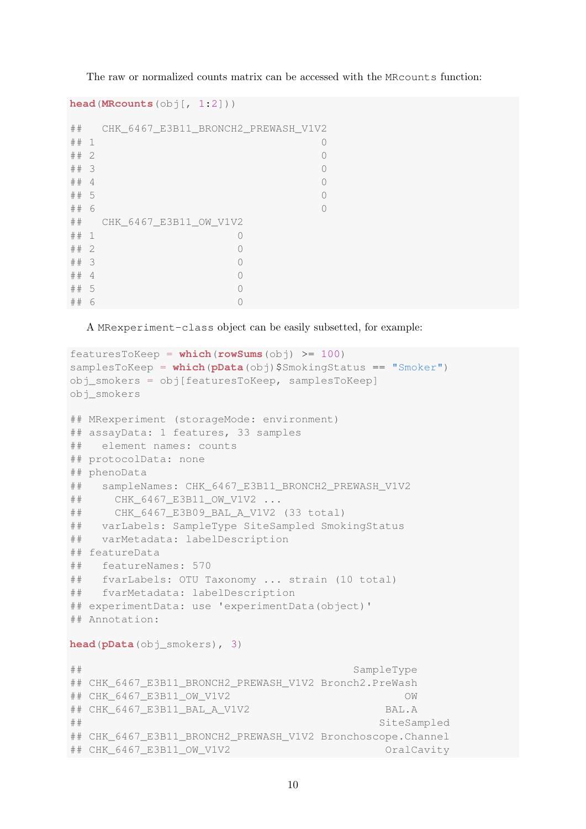The raw or normalized counts matrix can be accessed with the MRcounts function:

```
head(MRcounts(obj[, 1:2]))
```

```
## CHK 6467 E3B11 BRONCH2 PREWASH V1V2
## 1 0
## 2 0
## 3 0
## 4 0
## 5 0
## 6 0
## CHK_6467_E3B11_OW_V1V2
## 1 0
## 2 0
## 3 0
## 4 0
## 5 0
## 6 0
```
A MRexperiment-class object can be easily subsetted, for example:

```
featuresToKeep = which(rowSums(obj) >= 100)
samplesToKeep = which(pData(obj)$SmokingStatus == "Smoker")
obj_smokers = obj[featuresToKeep, samplesToKeep]
obj_smokers
## MRexperiment (storageMode: environment)
## assayData: 1 features, 33 samples
## element names: counts
## protocolData: none
## phenoData
## sampleNames: CHK_6467_E3B11_BRONCH2_PREWASH_V1V2
## CHK_6467_E3B11_OW_V1V2 ...
## CHK 6467 E3B09 BAL A V1V2 (33 total)
## varLabels: SampleType SiteSampled SmokingStatus
## varMetadata: labelDescription
## featureData
## featureNames: 570
## fvarLabels: OTU Taxonomy ... strain (10 total)
## fvarMetadata: labelDescription
## experimentData: use 'experimentData(object)'
## Annotation:
head(pData(obj_smokers), 3)
## SampleType
## CHK 6467 E3B11 BRONCH2 PREWASH V1V2 Bronch2.PreWash
## CHK_6467_E3B11_OW_V1V2 OW
## CHK_6467_E3B11_BAL_A_V1V2 BAL.A
## SiteSampled
## CHK_6467_E3B11_BRONCH2_PREWASH_V1V2 Bronchoscope.Channel
## CHK_6467_E3B11_OW_V1V2 OralCavity
```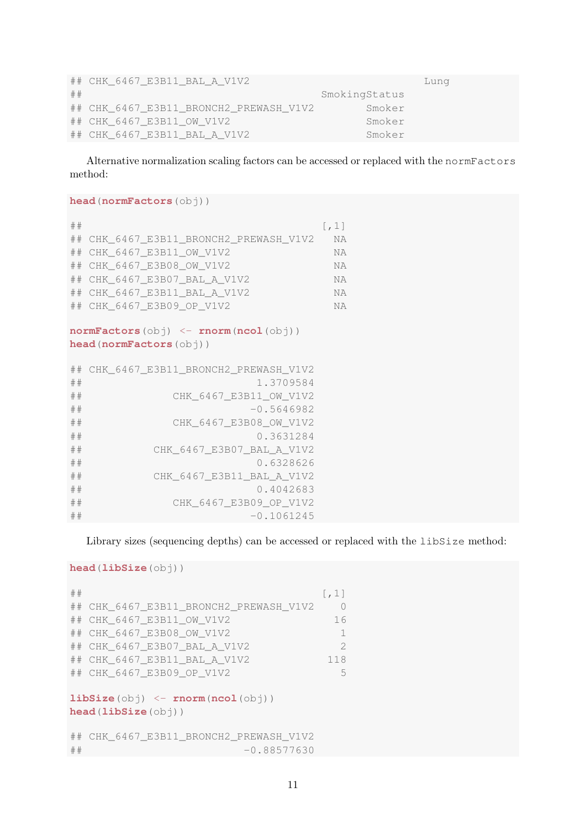```
## CHK_6467_E3B11_BAL_A_V1V2 Lung
## SmokingStatus
## CHK_6467_E3B11_BRONCH2_PREWASH_V1V2 Smoker
## CHK_6467_E3B11_OW_V1V2 Smoker
## CHK_6467_E3B11_BAL_A_V1V2 Smoker
```
Alternative normalization scaling factors can be accessed or replaced with the normFactors method:

**head**(**normFactors**(obj))

| ## |                                          | [71] |
|----|------------------------------------------|------|
|    | ## CHK_6467_E3B11_BRONCH2_PREWASH_V1V2   | NA   |
|    | ## CHK 6467 E3B11 OW V1V2                | NA   |
|    | ## CHK 6467 E3B08 OW V1V2                | NA   |
|    | ## CHK 6467 E3B07 BAL A V1V2             | NA   |
|    | ## CHK 6467 E3B11 BAL A V1V2             | NA   |
|    | ## CHK 6467 E3B09 OP V1V2                | NA   |
|    |                                          |      |
|    | $normFactors (obj) < -rnorm(ncol (obj))$ |      |
|    |                                          |      |

```
head(normFactors(obj))
```

| ## | CHK_6467_E3B11_BRONCH2_PREWASH_V1V2 |
|----|-------------------------------------|
| ## | 1.3709584                           |
| ## | CHK_6467_E3B11_OW_V1V2              |
| ## | $-0.5646982$                        |
| ## | CHK 6467 E3B08 OW V1V2              |
| ## | 0.3631284                           |
| ## | CHK 6467 E3B07 BAL A V1V2           |
| ## | 0.6328626                           |
| ## | CHK 6467 E3B11 BAL A V1V2           |
| ## | 0.4042683                           |
| ## | CHK_6467_E3B09_OP_V1V2              |
| ## | $-0.1061245$                        |

Library sizes (sequencing depths) can be accessed or replaced with the libSize method:

```
head(libSize(obj))
```

| ##       |                                                                             | $\lceil$ , 1] |
|----------|-----------------------------------------------------------------------------|---------------|
|          | ## CHK_6467_E3B11_BRONCH2_PREWASH_V1V2                                      | $\bigcap$     |
| ##       | CHK 6467 E3B11 OW V1V2                                                      | 16            |
| ##       | CHK_6467_E3B08_OW V1V2                                                      | 1             |
|          | ## CHK_6467_E3B07_BAL_A_V1V2                                                | 2             |
|          | ## CHK 6467 E3B11 BAL A V1V2                                                | 118           |
|          | ## CHK 6467 E3B09 OP V1V2                                                   | 5             |
|          | <b>libSize</b> $(obj) < -$ <b>rnorm</b> $(ncol(obj))$<br>head(libSize(obj)) |               |
| ##<br>## | CHK 6467 E3B11 BRONCH2 PREWASH V1V2<br>$-0.88577630$                        |               |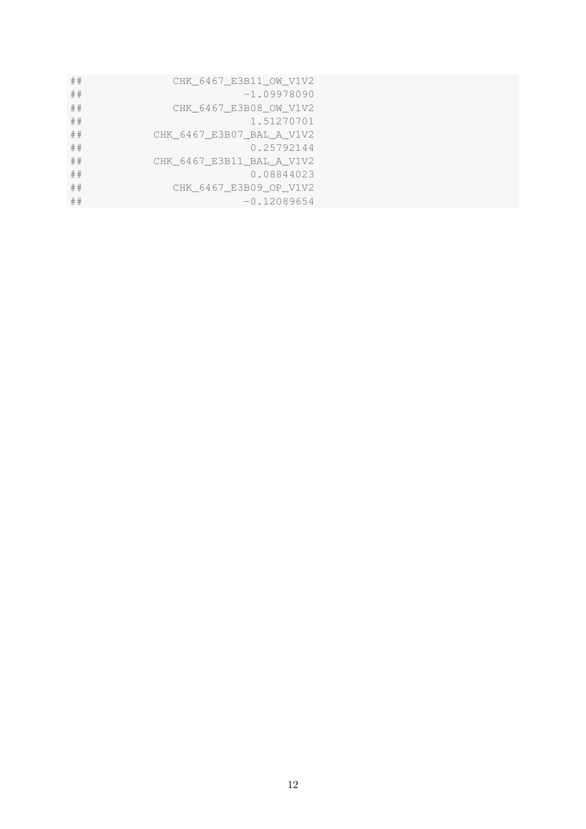| CHK 6467 E3B11 OW V1V2    |
|---------------------------|
| $-1.09978090$             |
| CHK_6467_E3B08_OW_V1V2    |
| 1.51270701                |
| CHK 6467 E3B07 BAL A V1V2 |
| 0.25792144                |
| CHK 6467 E3B11 BAL A V1V2 |
| 0.08844023                |
| CHK_6467_E3B09_OP_V1V2    |
| $-0.12089654$             |
|                           |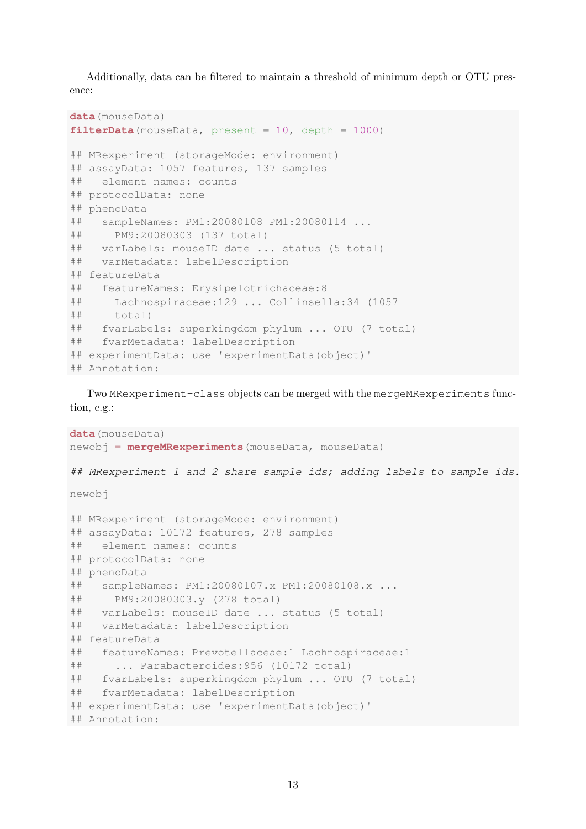Additionally, data can be filtered to maintain a threshold of minimum depth or OTU presence:

```
data(mouseData)
filterData(mouseData, present = 10, depth = 1000)
## MRexperiment (storageMode: environment)
## assayData: 1057 features, 137 samples
## element names: counts
## protocolData: none
## phenoData
## sampleNames: PM1:20080108 PM1:20080114 ...
## PM9:20080303 (137 total)
## varLabels: mouseID date ... status (5 total)
## varMetadata: labelDescription
## featureData
## featureNames: Erysipelotrichaceae:8
## Lachnospiraceae:129 ... Collinsella:34 (1057
## total)
## fvarLabels: superkingdom phylum ... OTU (7 total)
## fvarMetadata: labelDescription
## experimentData: use 'experimentData(object)'
## Annotation:
```
Two MRexperiment-class objects can be merged with the mergeMRexperiments function, e.g.:

```
data(mouseData)
newobj = mergeMRexperiments(mouseData, mouseData)
## MRexperiment 1 and 2 share sample ids; adding labels to sample ids.
newobj
## MRexperiment (storageMode: environment)
## assayData: 10172 features, 278 samples
## element names: counts
## protocolData: none
## phenoData
## sampleNames: PM1:20080107.x PM1:20080108.x ...
## PM9:20080303.y (278 total)
## varLabels: mouseID date ... status (5 total)
## varMetadata: labelDescription
## featureData
## featureNames: Prevotellaceae:1 Lachnospiraceae:1
## ... Parabacteroides:956 (10172 total)
## fvarLabels: superkingdom phylum ... OTU (7 total)
## fvarMetadata: labelDescription
## experimentData: use 'experimentData(object)'
## Annotation:
```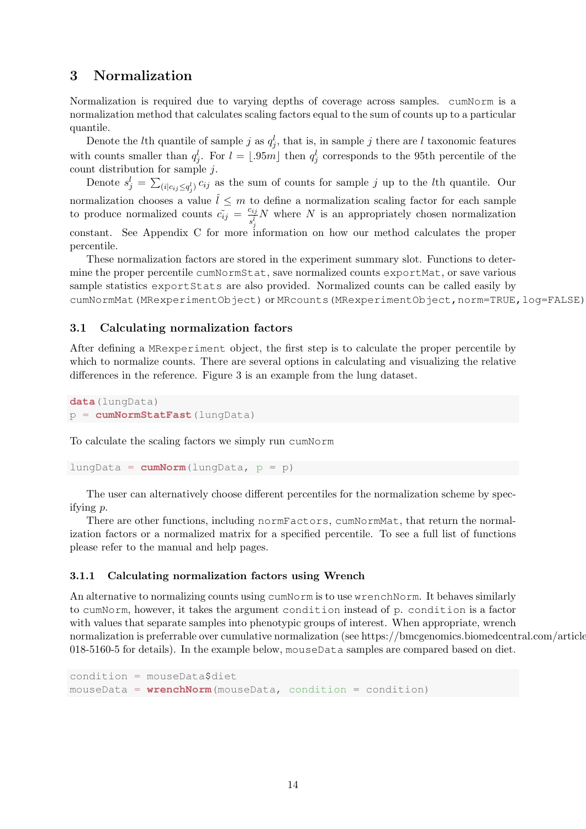# <span id="page-13-0"></span>3 Normalization

Normalization is required due to varying depths of coverage across samples. cumNorm is a normalization method that calculates scaling factors equal to the sum of counts up to a particular quantile.

Denote the *l*<sup>th</sup> quantile of sample *j* as  $q_j^l$ , that is, in sample *j* there are *l* taxonomic features with counts smaller than  $q_j^l$ . For  $l = \lfloor .95m \rfloor$  then  $q_j^l$  corresponds to the 95th percentile of the count distribution for sample j.

Denote  $s_j^l = \sum_{(i|c_{ij} \leq q_j^l)} c_{ij}$  as the sum of counts for sample j up to the lth quantile. Our normalization chooses a value  $\hat{l} \leq m$  to define a normalization scaling factor for each sample to produce normalized counts  $\tilde{c}_{ij} = \frac{c_{ij}}{i}$  $s_j^{\hat{l}}$  $N$  where  $N$  is an appropriately chosen normalization constant. See Appendix C for more information on how our method calculates the proper percentile.

These normalization factors are stored in the experiment summary slot. Functions to determine the proper percentile cumNormStat, save normalized counts exportMat, or save various sample statistics exportStats are also provided. Normalized counts can be called easily by cumNormMat(MRexperimentObject) or MRcounts(MRexperimentObject,norm=TRUE,log=FALSE)

# <span id="page-13-1"></span>3.1 Calculating normalization factors

After defining a MRexperiment object, the first step is to calculate the proper percentile by which to normalize counts. There are several options in calculating and visualizing the relative differences in the reference. Figure 3 is an example from the lung dataset.

**data**(lungData) p = **cumNormStatFast**(lungData)

To calculate the scaling factors we simply run cumNorm

lungData = **cumNorm**(lungData, p = p)

The user can alternatively choose different percentiles for the normalization scheme by specifying p.

There are other functions, including normFactors, cumNormMat, that return the normalization factors or a normalized matrix for a specified percentile. To see a full list of functions please refer to the manual and help pages.

### <span id="page-13-2"></span>3.1.1 Calculating normalization factors using Wrench

An alternative to normalizing counts using cumNorm is to use wrenchNorm. It behaves similarly to cumNorm, however, it takes the argument condition instead of p. condition is a factor with values that separate samples into phenotypic groups of interest. When appropriate, wrench normalization is preferrable over cumulative normalization (see https://bmcgenomics.biomedcentral.com/article 018-5160-5 for details). In the example below, mouseData samples are compared based on diet.

```
condition = mouseData$diet
mouseData = wrenchNorm(mouseData, condition = condition)
```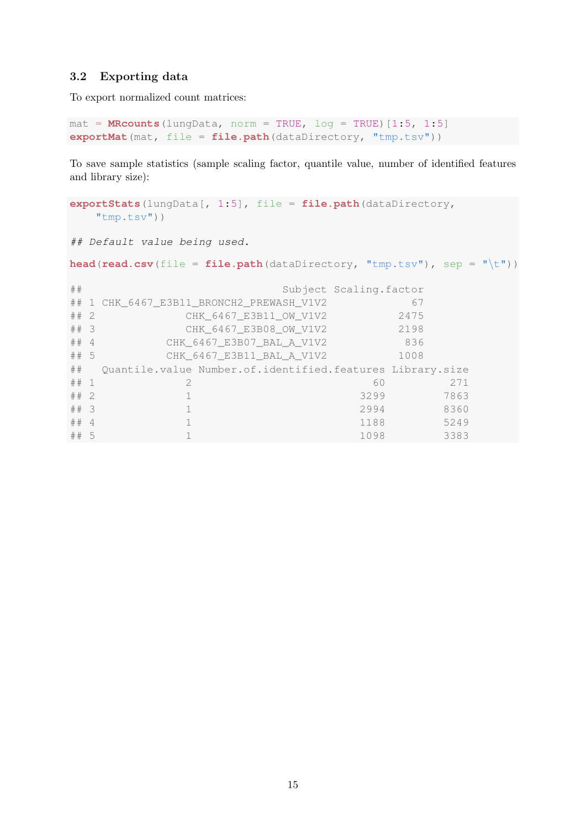# <span id="page-14-0"></span>3.2 Exporting data

To export normalized count matrices:

```
\text{mat} = \text{MRcounts}(\text{lungData}, \text{norm} = \text{TRUE}, \text{log} = \text{TRUE}) [1:5, 1:5]
exportMat(mat, file = file.path(dataDirectory, "tmp.tsv"))
```
To save sample statistics (sample scaling factor, quantile value, number of identified features and library size):

```
exportStats(lungData[, 1:5], file = file.path(dataDirectory,
  "tmp.tsv"))
## Default value being used.
head(\text{read.csv}(\text{file} = \text{file.path}(\text{dataDirectory}, \text{ "tmp.tsv"))}, \text{sep} = \text{ "t");})## Subject Scaling.factor
## 1 CHK_6467_E3B11_BRONCH2_PREWASH_V1V2 67
## 2 CHK 6467 E3B11 OW V1V2 2475
## 3 CHK 6467 E3B08 OW V1V2 2198
## 4 CHK 6467 E3B07 BAL A V1V2 836
## 5 CHK_6467_E3B11_BAL_A_V1V2 1008
## Quantile.value Number.of.identified.features Library.size
## 1 2 60 271
## 2 1 3299 7863
## 3 1 2994 8360
## 4 1 1188 5249
## 5 1 1098 3383
```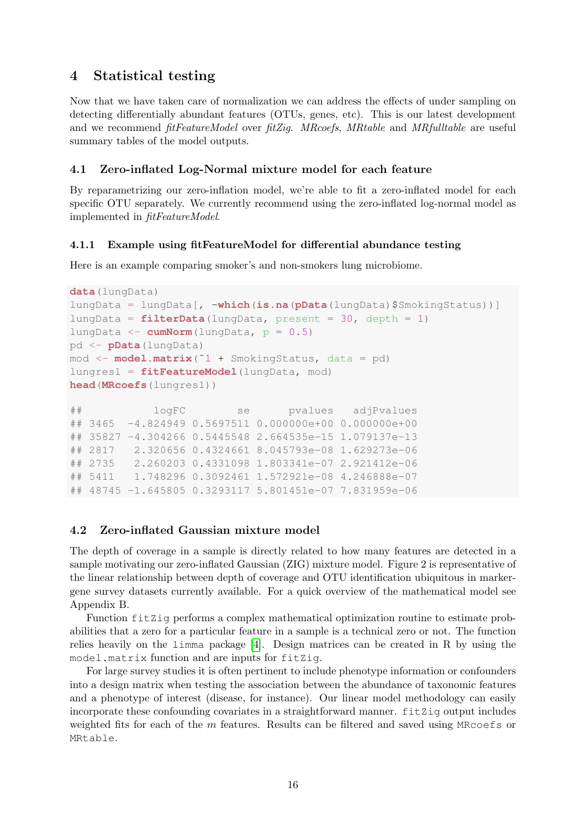# <span id="page-15-0"></span>4 Statistical testing

Now that we have taken care of normalization we can address the effects of under sampling on detecting differentially abundant features (OTUs, genes, etc). This is our latest development and we recommend *fitFeatureModel* over *fitZig. MRcoefs*, *MRtable* and *MRfulltable* are useful summary tables of the model outputs.

# <span id="page-15-1"></span>4.1 Zero-inflated Log-Normal mixture model for each feature

By reparametrizing our zero-inflation model, we're able to fit a zero-inflated model for each specific OTU separately. We currently recommend using the zero-inflated log-normal model as implemented in fitFeatureModel.

### <span id="page-15-2"></span>4.1.1 Example using fitFeatureModel for differential abundance testing

Here is an example comparing smoker's and non-smokers lung microbiome.

```
data(lungData)
lungData = lungData[, -which(is.na(pData(lungData)$SmokingStatus))]
lungData = filterData(lungData, present = 30, depth = 1)
lungData \leq -\text{cumNorm}(\text{lungData}, p = 0.5)pd <- pData(lungData)
mod <- model.matrix(˜1 + SmokingStatus, data = pd)
lungres1 = fitFeatureModel(lungData, mod)
head(MRcoefs(lungres1))
## logFC se pvalues adjPvalues
## 3465 -4.824949 0.5697511 0.000000e+00 0.000000e+00
## 35827 -4.304266 0.5445548 2.664535e-15 1.079137e-13
## 2817 2.320656 0.4324661 8.045793e-08 1.629273e-06
## 2735 2.260203 0.4331098 1.803341e-07 2.921412e-06
## 5411 1.748296 0.3092461 1.572921e-08 4.246888e-07
## 48745 -1.645805 0.3293117 5.801451e-07 7.831959e-06
```
### <span id="page-15-3"></span>4.2 Zero-inflated Gaussian mixture model

The depth of coverage in a sample is directly related to how many features are detected in a sample motivating our zero-inflated Gaussian (ZIG) mixture model. Figure 2 is representative of the linear relationship between depth of coverage and OTU identification ubiquitous in markergene survey datasets currently available. For a quick overview of the mathematical model see Appendix B.

Function fitziq performs a complex mathematical optimization routine to estimate probabilities that a zero for a particular feature in a sample is a technical zero or not. The function relies heavily on the limma package [\[4\]](#page-34-2). Design matrices can be created in R by using the model.matrix function and are inputs for fitZig.

For large survey studies it is often pertinent to include phenotype information or confounders into a design matrix when testing the association between the abundance of taxonomic features and a phenotype of interest (disease, for instance). Our linear model methodology can easily incorporate these confounding covariates in a straightforward manner.  $fitziq$  output includes weighted fits for each of the m features. Results can be filtered and saved using MRcoefs or MRtable.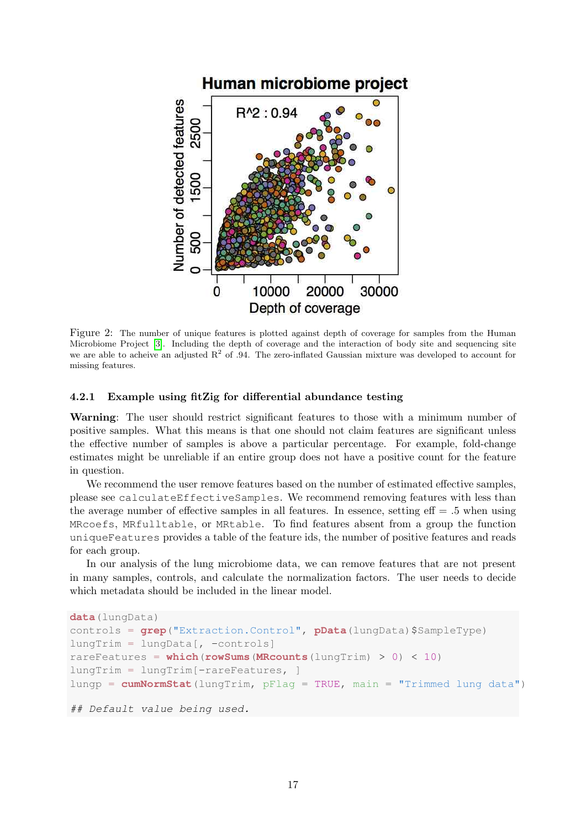

Figure 2: The number of unique features is plotted against depth of coverage for samples from the Human Microbiome Project [\[3\]](#page-34-3). Including the depth of coverage and the interaction of body site and sequencing site we are able to acheive an adjusted  $R^2$  of .94. The zero-inflated Gaussian mixture was developed to account for missing features.

#### <span id="page-16-0"></span>4.2.1 Example using fitZig for differential abundance testing

Warning: The user should restrict significant features to those with a minimum number of positive samples. What this means is that one should not claim features are significant unless the effective number of samples is above a particular percentage. For example, fold-change estimates might be unreliable if an entire group does not have a positive count for the feature in question.

We recommend the user remove features based on the number of estimated effective samples, please see calculateEffectiveSamples. We recommend removing features with less than the average number of effective samples in all features. In essence, setting  $\text{eff} = .5$  when using MRcoefs, MRfulltable, or MRtable. To find features absent from a group the function uniqueFeatures provides a table of the feature ids, the number of positive features and reads for each group.

In our analysis of the lung microbiome data, we can remove features that are not present in many samples, controls, and calculate the normalization factors. The user needs to decide which metadata should be included in the linear model.

```
data(lungData)
controls = grep("Extraction.Control", pData(lungData)$SampleType)
lungTrim = lungData[, -controls]rareFeatures = which(rowSums(MRcounts(lungTrim) > 0) < 10)
lungTrim = lungTrim[-rareFeatures, ]
lungp = cumNormStat(lungTrim, pFlag = TRUE, main = "Trimmed lung data")
## Default value being used.
```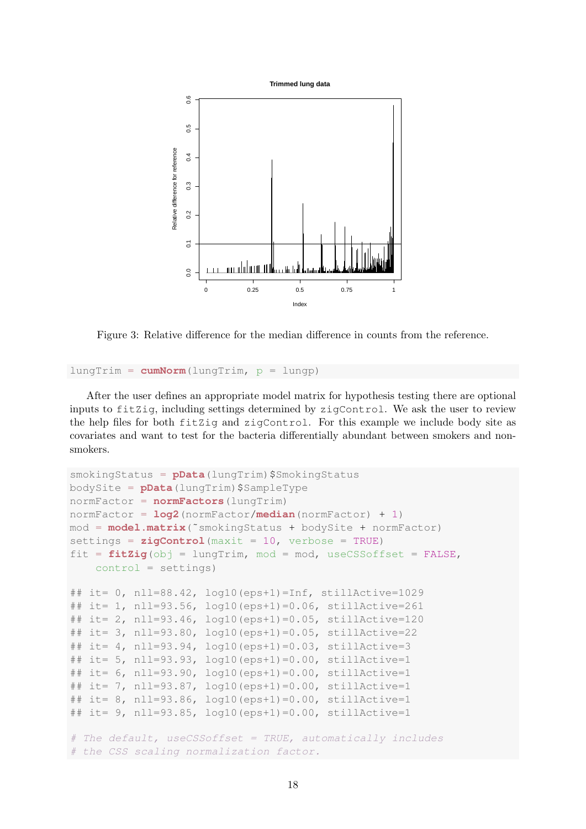

Figure 3: Relative difference for the median difference in counts from the reference.

lungTrim = **cumNorm**(lungTrim, p = lungp)

After the user defines an appropriate model matrix for hypothesis testing there are optional inputs to fitZig, including settings determined by zigControl. We ask the user to review the help files for both fitZig and zigControl. For this example we include body site as covariates and want to test for the bacteria differentially abundant between smokers and nonsmokers.

```
smokingStatus = pData(lungTrim)$SmokingStatus
bodySite = pData(lungTrim)$SampleType
normFactor = normFactors(lungTrim)
normFactor = log2(normFactor/median(normFactor) + 1)
mod = model.matrix(˜smokingStatus + bodySite + normFactor)
settings = zigControl(maxit = 10, verbose = TRUE)
fit = \text{fitZig}(obj = lungTrim, mod = mod, useCSSoffset = FALSE,
    control = setting## it= 0, nll=88.42, log10(eps+1)=Inf, stillActive=1029
## it= 1, nll=93.56, log10(eps+1)=0.06, stillActive=261
## it= 2, nll=93.46, log10(eps+1)=0.05, stillActive=120
## it= 3, nll=93.80, log10(eps+1)=0.05, stillActive=22
## it= 4, nll=93.94, log10(eps+1)=0.03, stillActive=3
## it= 5, nll=93.93, log10(eps+1)=0.00, stillActive=1
## it= 6, nll=93.90, log10(eps+1)=0.00, stillActive=1
## it= 7, nll=93.87, log10(eps+1)=0.00, stillActive=1
## it= 8, nll=93.86, log10(eps+1)=0.00, stillActive=1
## it= 9, nll=93.85, log10(eps+1)=0.00, stillActive=1
# The default, useCSSoffset = TRUE, automatically includes
# the CSS scaling normalization factor.
```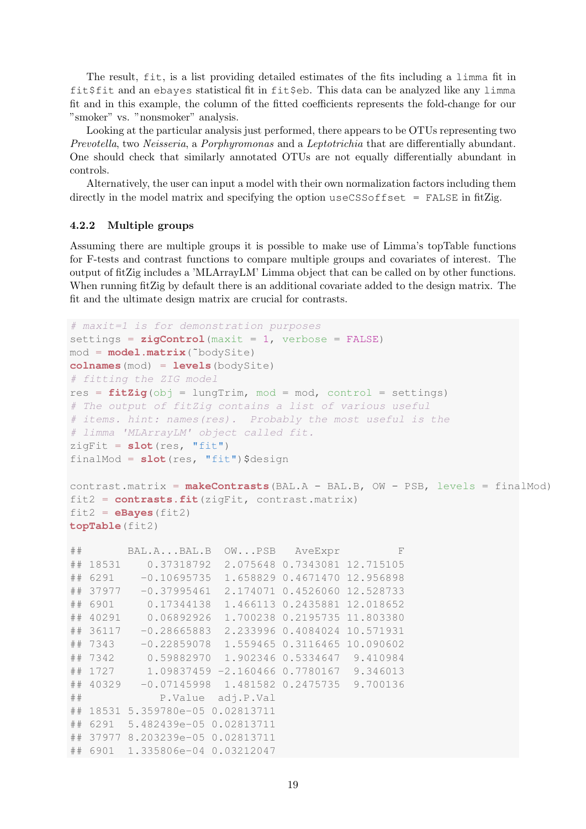The result, fit, is a list providing detailed estimates of the fits including a limma fit in fit\$fit and an ebayes statistical fit in fit\$eb. This data can be analyzed like any limma fit and in this example, the column of the fitted coefficients represents the fold-change for our "smoker" vs. "nonsmoker" analysis.

Looking at the particular analysis just performed, there appears to be OTUs representing two Prevotella, two Neisseria, a Porphyromonas and a Leptotrichia that are differentially abundant. One should check that similarly annotated OTUs are not equally differentially abundant in controls.

Alternatively, the user can input a model with their own normalization factors including them directly in the model matrix and specifying the option useCSSoffset  $=$  FALSE in fitZig.

#### <span id="page-18-0"></span>4.2.2 Multiple groups

Assuming there are multiple groups it is possible to make use of Limma's topTable functions for F-tests and contrast functions to compare multiple groups and covariates of interest. The output of fitZig includes a 'MLArrayLM' Limma object that can be called on by other functions. When running fitZig by default there is an additional covariate added to the design matrix. The fit and the ultimate design matrix are crucial for contrasts.

```
# maxit=1 is for demonstration purposes
settings = zigControl(maxit = 1, verbose = FALSE)
mod = model.matrix(˜bodySite)
colnames(mod) = levels(bodySite)
# fitting the ZIG model
res = fitZig(obj = lungTrim, mod = mod, control = settings)
# The output of fitZig contains a list of various useful
# items. hint: names(res). Probably the most useful is the
# limma 'MLArrayLM' object called fit.
zigFit = slot(res, "fit")finalMod = slot(res, "fit")$design
contrast.matrix = makeContrasts(BAL.A - BAL.B, OW - PSB, levels = finalMod)
fit2 = contrasts.fit(zigFit, contrast.matrix)
fit2 =eBayes(fit2)
topTable(fit2)
## BAL.A...BAL.B OW...PSB AveExpr F
## 18531 0.37318792 2.075648 0.7343081 12.715105
## 6291 -0.10695735 1.658829 0.4671470 12.956898
## 37977 -0.37995461 2.174071 0.4526060 12.528733
## 6901 0.17344138 1.466113 0.2435881 12.018652
## 40291 0.06892926 1.700238 0.2195735 11.803380
## 36117 -0.28665883 2.233996 0.4084024 10.571931
## 7343 -0.22859078 1.559465 0.3116465 10.090602
## 7342 0.59882970 1.902346 0.5334647 9.410984
## 1727 1.09837459 -2.160466 0.7780167 9.346013
## 40329 -0.07145998 1.481582 0.2475735 9.700136
## P.Value adj.P.Val
## 18531 5.359780e-05 0.02813711
## 6291 5.482439e-05 0.02813711
## 37977 8.203239e-05 0.02813711
## 6901 1.335806e-04 0.03212047
```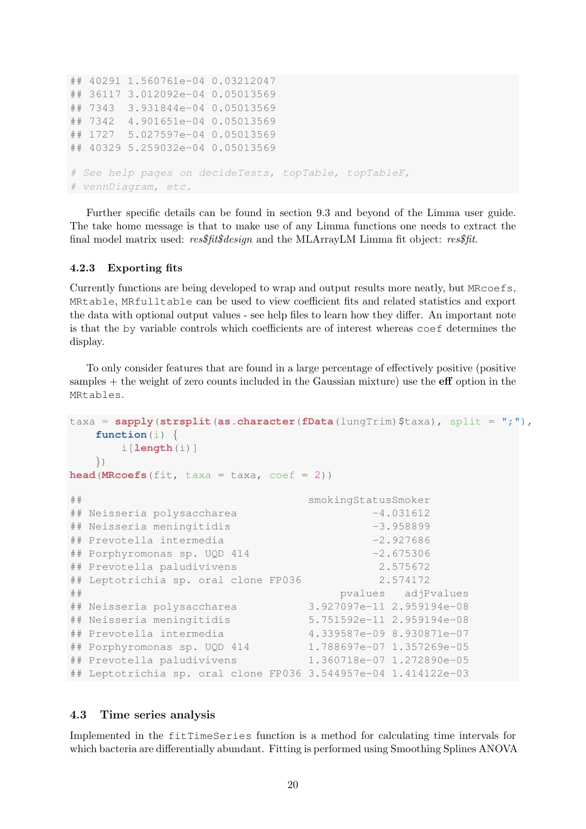```
## 40291 1.560761e-04 0.03212047
## 36117 3.012092e-04 0.05013569
## 7343 3.931844e-04 0.05013569
## 7342 4.901651e-04 0.05013569
## 1727 5.027597e-04 0.05013569
## 40329 5.259032e-04 0.05013569
# See help pages on decideTests, topTable, topTableF,
# vennDiagram, etc.
```
Further specific details can be found in section 9.3 and beyond of the Limma user guide. The take home message is that to make use of any Limma functions one needs to extract the final model matrix used:  $res\frac{\mathcal{E}}{\mathcal{E}}$  and the MLArrayLM Limma fit object:  $res\frac{\mathcal{E}}{\mathcal{E}}$ 

### <span id="page-19-0"></span>4.2.3 Exporting fits

Currently functions are being developed to wrap and output results more neatly, but MRcoefs, MRtable, MRfulltable can be used to view coefficient fits and related statistics and export the data with optional output values - see help files to learn how they differ. An important note is that the by variable controls which coefficients are of interest whereas coef determines the display.

To only consider features that are found in a large percentage of effectively positive (positive samples  $+$  the weight of zero counts included in the Gaussian mixture) use the **eff** option in the MRtables.

```
taxa = sapply(strsplit(as.character(fData(lungTrim)$taxa), split = ";"),
   function(i) {
      i[length(i)]
   })
head(MRcoefs(fit, taxa = taxa, coef = 2))## smokingStatusSmoker
## Neisseria polysaccharea -4.031612
## Neisseria meningitidis -3.958899
## Prevotella intermedia -2.927686
\# Porphyromonas sp. UQD 414 -2.675306## Prevotella paludivivens 2.575672
## Leptotrichia sp. oral clone FP036 2.574172
## pvalues adjPvalues
## Neisseria polysaccharea 3.927097e-11 2.959194e-08
## Neisseria meningitidis 5.751592e-11 2.959194e-08
## Prevotella intermedia 4.339587e-09 8.930871e-07
## Porphyromonas sp. UQD 414 1.788697e-07 1.357269e-05
## Prevotella paludivivens 1.360718e-07 1.272890e-05
## Leptotrichia sp. oral clone FP036 3.544957e-04 1.414122e-03
```
# <span id="page-19-1"></span>4.3 Time series analysis

Implemented in the fitTimeSeries function is a method for calculating time intervals for which bacteria are differentially abundant. Fitting is performed using Smoothing Splines ANOVA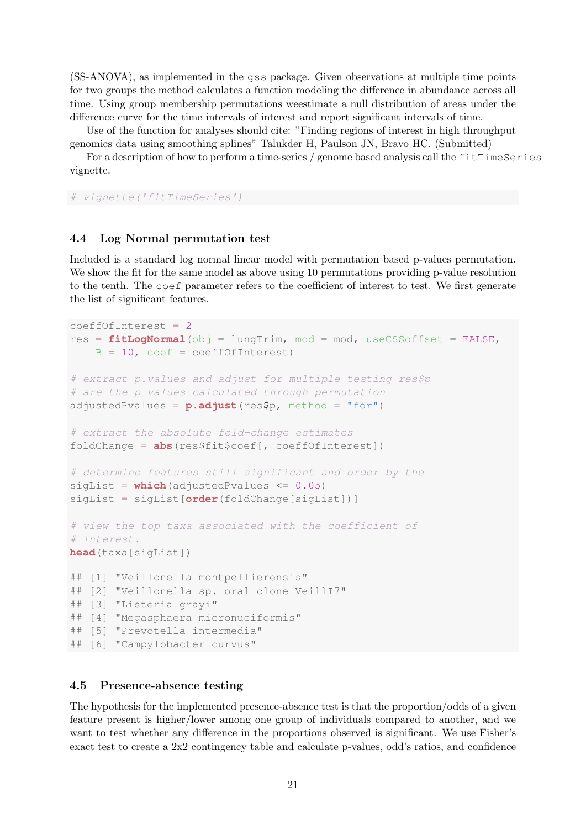(SS-ANOVA), as implemented in the gss package. Given observations at multiple time points for two groups the method calculates a function modeling the difference in abundance across all time. Using group membership permutations weestimate a null distribution of areas under the difference curve for the time intervals of interest and report significant intervals of time.

Use of the function for analyses should cite: "Finding regions of interest in high throughput genomics data using smoothing splines" Talukder H, Paulson JN, Bravo HC. (Submitted)

For a description of how to perform a time-series / genome based analysis call the fitTimeSeries vignette.

# vignette('fitTimeSeries')

#### <span id="page-20-0"></span>4.4 Log Normal permutation test

Included is a standard log normal linear model with permutation based p-values permutation. We show the fit for the same model as above using 10 permutations providing p-value resolution to the tenth. The coef parameter refers to the coefficient of interest to test. We first generate the list of significant features.

```
coeffOfInterest = 2
res = fitLogNormal(obj = lungTrim, mod = mod, useCSSoffset = FALSE,
    B = 10, coef = coeffOfInterest)
# extract p.values and adjust for multiple testing res$p
# are the p-values calculated through permutation
adjustedPvalues = p.addjust(res\p, method = "fdr")# extract the absolute fold-change estimates
foldChange = abs(res$fit$coef[, coeffOfInterest])
# determine features still significant and order by the
sigList = which(adjustedPvalues \leq 0.05)
sigList = sigList[order(foldChange[sigList])]
# view the top taxa associated with the coefficient of
# interest.
head(taxa[sigList])
## [1] "Veillonella montpellierensis"
## [2] "Veillonella sp. oral clone VeillI7"
## [3] "Listeria grayi"
## [4] "Megasphaera micronuciformis"
## [5] "Prevotella intermedia"
## [6] "Campylobacter curvus"
```
### <span id="page-20-1"></span>4.5 Presence-absence testing

The hypothesis for the implemented presence-absence test is that the proportion/odds of a given feature present is higher/lower among one group of individuals compared to another, and we want to test whether any difference in the proportions observed is significant. We use Fisher's exact test to create a 2x2 contingency table and calculate p-values, odd's ratios, and confidence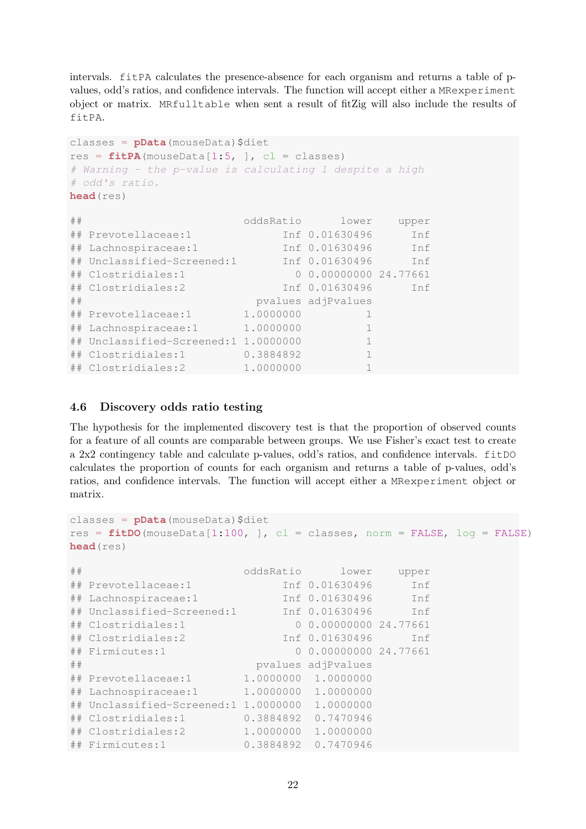intervals. fitPA calculates the presence-absence for each organism and returns a table of pvalues, odd's ratios, and confidence intervals. The function will accept either a MRexperiment object or matrix. MRfulltable when sent a result of fitZig will also include the results of fitPA.

```
classes = pData(mouseData) $diet
res = \text{fitPA}(\text{mouseData}[1:5, ], c1 = \text{classes})# Warning - the p-value is calculating 1 despite a high
# odd's ratio.
head(res)
## oddsRatio lower upper
## Prevotellaceae:1 Inf 0.01630496 Inf
## Lachnospiraceae:1 Inf 0.01630496 Inf
## Unclassified-Screened:1 Inf 0.01630496 Inf
## Clostridiales:1 0 0.00000000 24.77661
## Clostridiales:2 Inf 0.01630496 Inf
## pvalues adjPvalues
## Prevotellaceae:1 1.0000000 1
## Lachnospiraceae:1 1.0000000 1
## Unclassified-Screened:1 1.0000000 1
## Clostridiales:1 0.3884892 1
## Clostridiales:2 1.0000000 1
```
### <span id="page-21-0"></span>4.6 Discovery odds ratio testing

The hypothesis for the implemented discovery test is that the proportion of observed counts for a feature of all counts are comparable between groups. We use Fisher's exact test to create a 2x2 contingency table and calculate p-values, odd's ratios, and confidence intervals. fitDO calculates the proportion of counts for each organism and returns a table of p-values, odd's ratios, and confidence intervals. The function will accept either a MRexperiment object or matrix.

```
classes = pData(mouseData) $diet
res = fitDO(mouseData[1:100, 1, cl = classes, norm = FALSE, log = FALSE)head(res)
```

| ##        |                                   | oddsRatio | lower                 | upper |
|-----------|-----------------------------------|-----------|-----------------------|-------|
| ##        | Prevotellaceae:1                  |           | Inf 0.01630496        | Inf   |
| $\#$ $\#$ | Lachnospiraceae:1                 |           | Inf 0.01630496        | Inf   |
| ##        | Unclassified-Screened:1           |           | Inf 0.01630496        | Inf   |
| ##        | Clostridiales:1                   |           | 0 0.00000000 24.77661 |       |
|           | ## Clostridiales:2                |           | Inf 0.01630496        | Inf   |
|           | ## Firmicutes:1                   | $\bigcap$ | 0.00000000 24.77661   |       |
| ##        |                                   |           | pvalues adjPvalues    |       |
|           | ## Prevotellaceae:1               |           | 1.0000000 1.0000000   |       |
|           | ## Lachnospiraceae:1              | 1.0000000 | 1,0000000             |       |
| ##        | Unclassified-Screened:1 1.0000000 |           | 1.0000000             |       |
| ##        | Clostridiales:1                   | 0.3884892 | 0.7470946             |       |
|           | ## Clostridiales:2                | 1.0000000 | 1.0000000             |       |
|           | ## Firmicutes:1                   | 0.3884892 | 0.7470946             |       |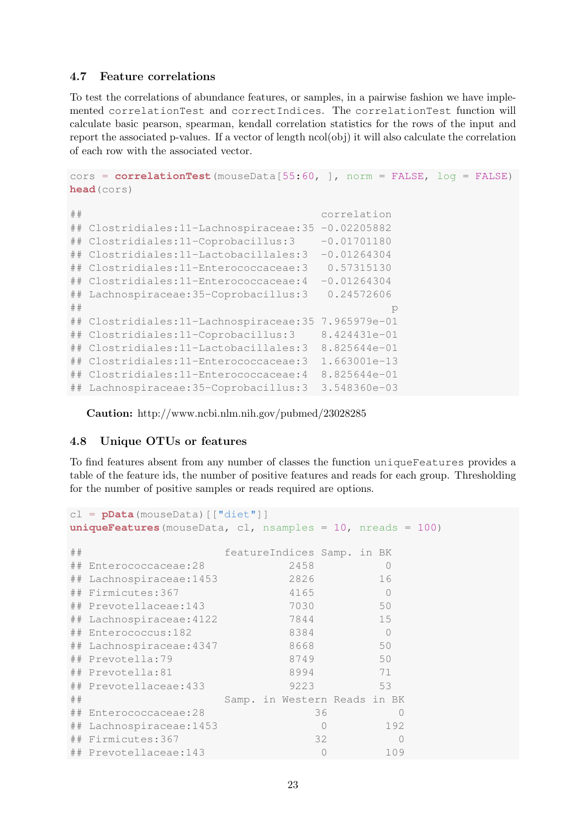### <span id="page-22-0"></span>4.7 Feature correlations

To test the correlations of abundance features, or samples, in a pairwise fashion we have implemented correlationTest and correctIndices. The correlationTest function will calculate basic pearson, spearman, kendall correlation statistics for the rows of the input and report the associated p-values. If a vector of length ncol(obj) it will also calculate the correlation of each row with the associated vector.

```
cors = correlationTest(mouseData[55:60, ], norm = FALSE, log = FALSE)
head(cors)
## correlation
## Clostridiales:11-Lachnospiraceae:35 -0.02205882
## Clostridiales:11-Coprobacillus:3 -0.01701180
```

```
## Clostridiales:11-Enterococcaceae:3 0.57315130
## Clostridiales:11-Enterococcaceae:4 -0.01264304
## Lachnospiraceae:35-Coprobacillus:3 0.24572606
\##
## Clostridiales:11-Lachnospiraceae:35 7.965979e-01
## Clostridiales:11-Coprobacillus:3 8.424431e-01
## Clostridiales:11-Lactobacillales:3 8.825644e-01
## Clostridiales:11-Enterococcaceae:3 1.663001e-13
## Clostridiales:11-Enterococcaceae:4 8.825644e-01
## Lachnospiraceae:35-Coprobacillus:3 3.548360e-03
```
## Clostridiales:11-Lactobacillales:3 -0.01264304

Caution: http://www.ncbi.nlm.nih.gov/pubmed/23028285

### <span id="page-22-1"></span>4.8 Unique OTUs or features

To find features absent from any number of classes the function uniqueFeatures provides a table of the feature ids, the number of positive features and reads for each group. Thresholding for the number of positive samples or reads required are options.

```
cl = pData(mouseData)[["diet"]]
uniqueFeatures(mouseData, cl, nsamples = 10, nreads = 100)
## featureIndices Samp. in BK
## Enterococcaceae:28 2458 0
## Lachnospiraceae:1453 2826 16
## Firmicutes:367 4165 0
## Prevotellaceae:143 7030 50
## Lachnospiraceae:4122 7844 15
## Enterococcus:182 8384 0
## Lachnospiraceae:4347 8668 50
## Prevotella:79 8749 50
## Prevotella:81 8994 71
## Prevotellaceae:433 9223 53
## Samp. in Western Reads in BK
## Enterococcaceae:28 36 0
## Lachnospiraceae:1453 0 192
## Firmicutes:367 32 0
## Prevotellaceae:143 0 109
```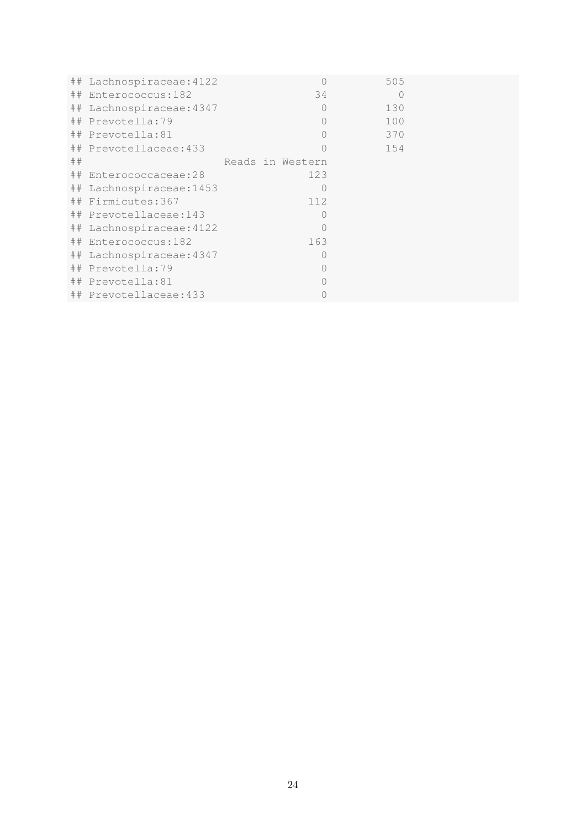|    | ## Lachnospiraceae: 4122 | $\Omega$         | 505 |  |
|----|--------------------------|------------------|-----|--|
|    | ## Enterococcus:182      | 34               |     |  |
|    | ## Lachnospiraceae: 4347 | $\bigcirc$       | 130 |  |
|    | ## Prevotella:79         | $\bigcirc$       | 100 |  |
|    | ## Prevotella:81         | $\bigcirc$       | 370 |  |
|    | ## Prevotellaceae: 433   | $\bigcap$        | 154 |  |
| ## |                          | Reads in Western |     |  |
|    | ## Enterococcaceae:28    | 123              |     |  |
|    | ## Lachnospiraceae: 1453 | $\Omega$         |     |  |
|    | ## Firmicutes:367        | 112              |     |  |
|    | ## Prevotellaceae:143    | $\bigcap$        |     |  |
|    | ## Lachnospiraceae: 4122 | $\bigcap$        |     |  |
|    | ## Enterococcus:182      | 163              |     |  |
|    | ## Lachnospiraceae: 4347 | $\bigcirc$       |     |  |
|    | ## Prevotella:79         | $\bigcirc$       |     |  |
|    | ## Prevotella:81         |                  |     |  |
|    | ## Prevotellaceae:433    |                  |     |  |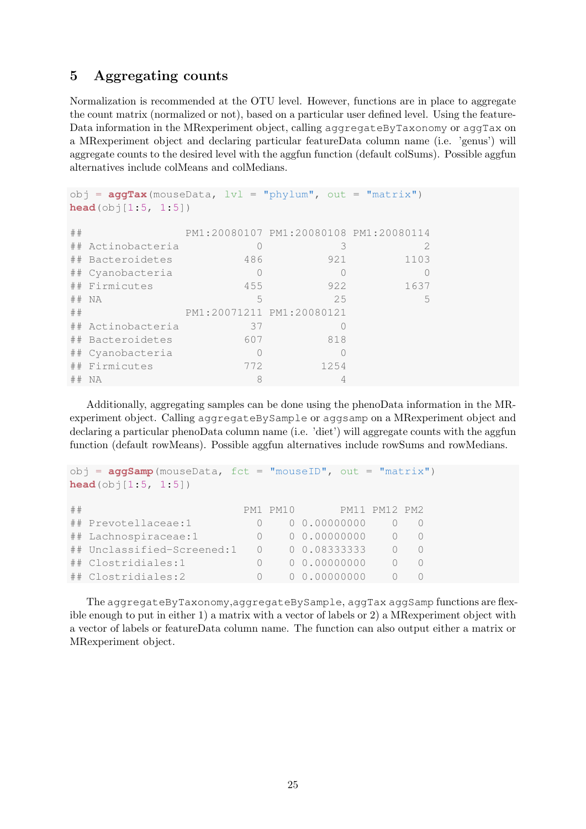# <span id="page-24-0"></span>5 Aggregating counts

Normalization is recommended at the OTU level. However, functions are in place to aggregate the count matrix (normalized or not), based on a particular user defined level. Using the feature-Data information in the MRexperiment object, calling aggregateByTaxonomy or aggTax on a MRexperiment object and declaring particular featureData column name (i.e. 'genus') will aggregate counts to the desired level with the aggfun function (default colSums). Possible aggfun alternatives include colMeans and colMedians.

```
obj = <b>aggTax</b>(mouseData, lvl = "phylum", out = "matrix")
head(obj[1:5, 1:5])
## PM1:20080107 PM1:20080108 PM1:20080114
## Actinobacteria 0 3 2
## Bacteroidetes 486 921 1103
## Cyanobacteria 0 0 0
## Firmicutes 455 922 1637
## NA 5 25 5
## PM1:20071211 PM1:20080121
## Actinobacteria 37 0
## Bacteroidetes 607 818
## Cyanobacteria 0 0
## Firmicutes 772 1254
## NA 8 4
```
Additionally, aggregating samples can be done using the phenoData information in the MRexperiment object. Calling aggregateBySample or aggsamp on a MRexperiment object and declaring a particular phenoData column name (i.e. 'diet') will aggregate counts with the aggfun function (default rowMeans). Possible aggfun alternatives include rowSums and rowMedians.

```
obj = aggSamp(mouseData, fct = "mouseID", out = "matrix")
head(obj[1:5, 1:5])
## PM1 PM10 PM11 PM12 PM2
## Prevotellaceae:1 0 0 0.00000000 0 0
## Lachnospiraceae:1 0 0 0.00000000 0 0
## Unclassified-Screened:1 0 0 0.08333333 0 0
## Clostridiales:1 0 0 0.00000000 0 0
## Clostridiales:2 0 0 0.00000000 0 0
```
The aggregateByTaxonomy,aggregateBySample, aggTax aggSamp functions are flexible enough to put in either 1) a matrix with a vector of labels or 2) a MRexperiment object with a vector of labels or featureData column name. The function can also output either a matrix or MRexperiment object.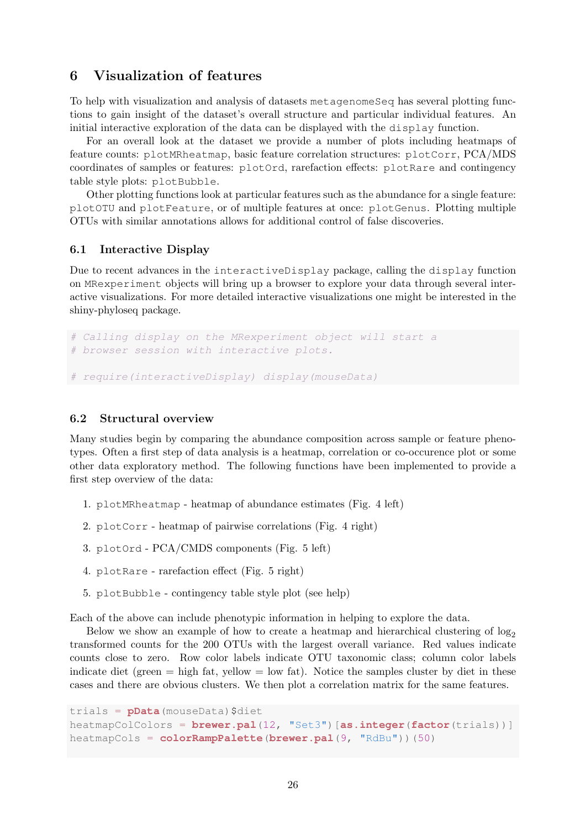# <span id="page-25-0"></span>6 Visualization of features

To help with visualization and analysis of datasets metagenomeSeq has several plotting functions to gain insight of the dataset's overall structure and particular individual features. An initial interactive exploration of the data can be displayed with the display function.

For an overall look at the dataset we provide a number of plots including heatmaps of feature counts: plotMRheatmap, basic feature correlation structures: plotCorr, PCA/MDS coordinates of samples or features: plotOrd, rarefaction effects: plotRare and contingency table style plots: plotBubble.

Other plotting functions look at particular features such as the abundance for a single feature: plotOTU and plotFeature, or of multiple features at once: plotGenus. Plotting multiple OTUs with similar annotations allows for additional control of false discoveries.

### <span id="page-25-1"></span>6.1 Interactive Display

Due to recent advances in the interactiveDisplay package, calling the display function on MRexperiment objects will bring up a browser to explore your data through several interactive visualizations. For more detailed interactive visualizations one might be interested in the shiny-phyloseq package.

```
# Calling display on the MRexperiment object will start a
# browser session with interactive plots.
# require(interactiveDisplay) display(mouseData)
```
### <span id="page-25-2"></span>6.2 Structural overview

Many studies begin by comparing the abundance composition across sample or feature phenotypes. Often a first step of data analysis is a heatmap, correlation or co-occurence plot or some other data exploratory method. The following functions have been implemented to provide a first step overview of the data:

- 1. plotMRheatmap heatmap of abundance estimates (Fig. 4 left)
- 2. plotCorr heatmap of pairwise correlations (Fig. 4 right)
- 3. plotOrd PCA/CMDS components (Fig. 5 left)
- 4. plotRare rarefaction effect (Fig. 5 right)
- 5. plotBubble contingency table style plot (see help)

Each of the above can include phenotypic information in helping to explore the data.

Below we show an example of how to create a heatmap and hierarchical clustering of  $\log_2$ transformed counts for the 200 OTUs with the largest overall variance. Red values indicate counts close to zero. Row color labels indicate OTU taxonomic class; column color labels indicate diet (green  $=$  high fat, yellow  $=$  low fat). Notice the samples cluster by diet in these cases and there are obvious clusters. We then plot a correlation matrix for the same features.

```
trials = pData(mouseData)$diet
heatmapColColors = brewer.pal(12, "Set3")[as.integer(factor(trials))]
heatmapCols = colorRampPalette(brewer.pal(9, "RdBu"))(50)
```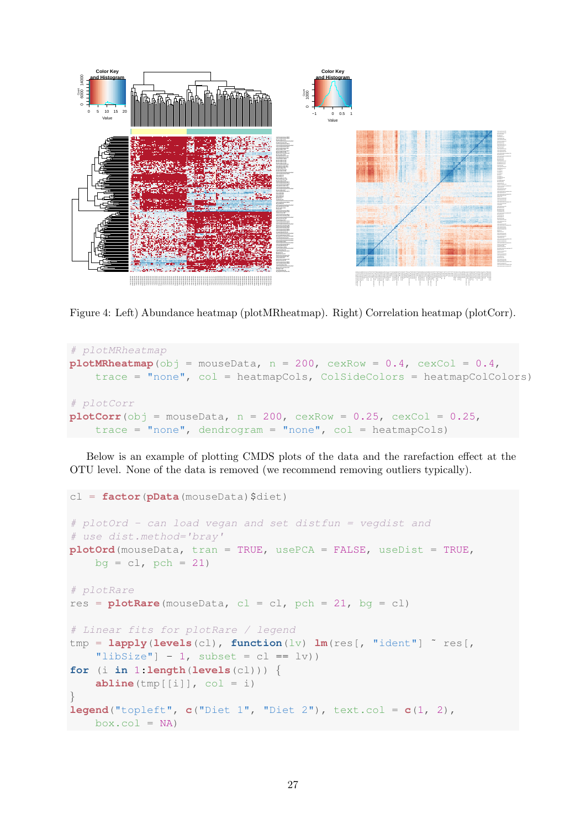

Figure 4: Left) Abundance heatmap (plotMRheatmap). Right) Correlation heatmap (plotCorr).

```
# plotMRheatmap
plotMRheatmap(obj = mouseData, n = 200, cexRow = 0.4, cexCol = 0.4,
    trace = "none", col = heatmapCols, ColSideColors = heatmapColColors)
# plotCorr
plotCorr(\text{obj} = mouseData, n = 200, cexRow = 0.25, cexCol = 0.25,trace = "none", dendrogram = "none", col = heatmapCols)
```
Below is an example of plotting CMDS plots of the data and the rarefaction effect at the OTU level. None of the data is removed (we recommend removing outliers typically).

```
cl = factor(pData(mouseData)$diet)
# plotOrd - can load vegan and set distfun = vegdist and
# use dist.method='bray'
plotOrd(mouseData, tran = TRUE, usePCA = FALSE, useDist = TRUE,
   bq = c1, pch = 21)
# plotRare
res = plotRange(mouseData, cl = cl, pch = 21, bg = cl)# Linear fits for plotRare / legend
tmp = lapply(levels(cl), function(lv) lm(res[, "ident"] ˜ res[,
    "libSize"] -1, subset = cl == lv))
for (i in 1:length(levels(cl))) {
    abline(tmp[[i]], col = i)}
legend("topleft", c("Diet 1", "Diet 2"), text.col = c(1, 2),
   box.col = NA
```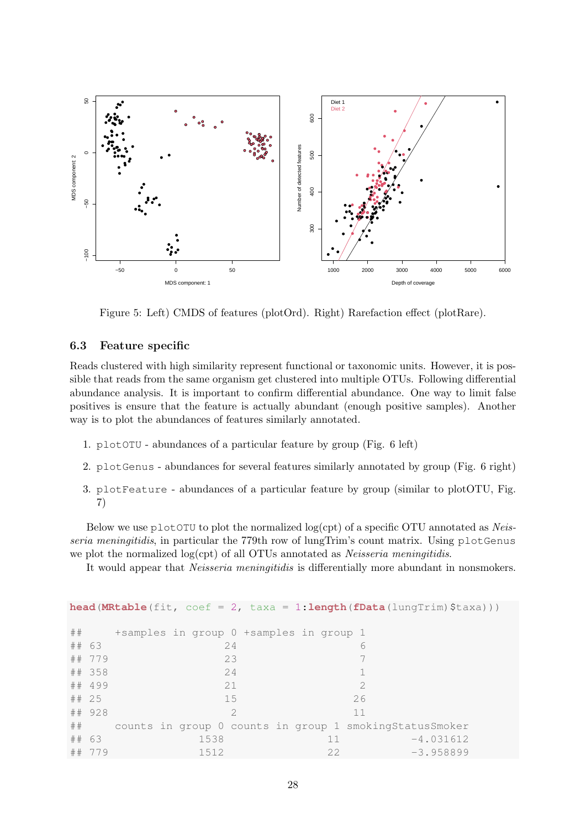

Figure 5: Left) CMDS of features (plotOrd). Right) Rarefaction effect (plotRare).

### <span id="page-27-0"></span>6.3 Feature specific

Reads clustered with high similarity represent functional or taxonomic units. However, it is possible that reads from the same organism get clustered into multiple OTUs. Following differential abundance analysis. It is important to confirm differential abundance. One way to limit false positives is ensure that the feature is actually abundant (enough positive samples). Another way is to plot the abundances of features similarly annotated.

- 1. plotOTU abundances of a particular feature by group (Fig. 6 left)
- 2. plotGenus abundances for several features similarly annotated by group (Fig. 6 right)
- 3. plotFeature abundances of a particular feature by group (similar to plotOTU, Fig. 7)

Below we use plotOTU to plot the normalized log(cpt) of a specific OTU annotated as Neisseria meningitidis, in particular the 779th row of lungTrim's count matrix. Using plotGenus we plot the normalized log(cpt) of all OTUs annotated as Neisseria meningitidis.

It would appear that Neisseria meningitidis is differentially more abundant in nonsmokers.

| <b>head (MRtable</b> (fit, $\text{coef} = 2$ , $\text{taxa} = 1$ : <b>length (fData</b> (lungTrim) $\text{Staxa})$ )) |        |  |                                         |               |  |      |                                                         |
|-----------------------------------------------------------------------------------------------------------------------|--------|--|-----------------------------------------|---------------|--|------|---------------------------------------------------------|
| ##                                                                                                                    |        |  | +samples in group 0 +samples in group 1 |               |  |      |                                                         |
| ## 63                                                                                                                 |        |  |                                         | 2.4           |  |      | 6                                                       |
|                                                                                                                       | ## 779 |  |                                         | 23            |  |      |                                                         |
|                                                                                                                       | ## 358 |  |                                         | 2.4           |  |      |                                                         |
|                                                                                                                       | ## 499 |  |                                         | 21            |  |      | 2                                                       |
| $\#$ # 25                                                                                                             |        |  |                                         | 15            |  |      | 26                                                      |
|                                                                                                                       | ## 928 |  |                                         | $\mathcal{P}$ |  |      | 11                                                      |
| #  #                                                                                                                  |        |  |                                         |               |  |      | counts in group 0 counts in group 1 smokingStatusSmoker |
| ## 63                                                                                                                 |        |  | 1538                                    |               |  | 11   | $-4.031612$                                             |
|                                                                                                                       | ## 779 |  | 1512                                    |               |  | 2.2. | $-3.958899$                                             |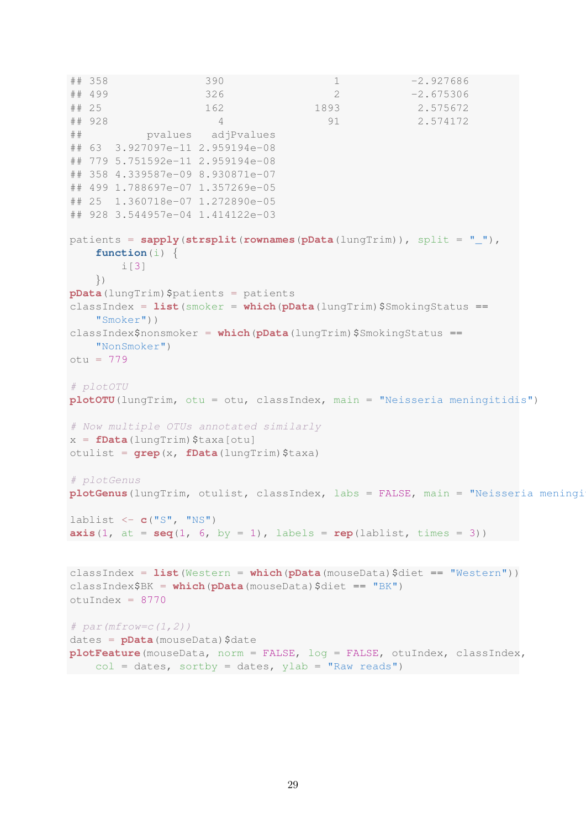```
\# 358 390 390 1 -2.927686
\# 499 326 326 2 -2.675306
## 25 162 1893 2.575672
## 928 4 91 2.574172
## pvalues adjPvalues
## 63 3.927097e-11 2.959194e-08
## 779 5.751592e-11 2.959194e-08
## 358 4.339587e-09 8.930871e-07
## 499 1.788697e-07 1.357269e-05
## 25 1.360718e-07 1.272890e-05
## 928 3.544957e-04 1.414122e-03
patients = sapply(strsplit(rownames(pData(lungTrim)), split = "_"),
   function(i) {
       i[3]
   })
pData(lungTrim)$patients = patients
classIndex = list(smoker = which(pData(lungTrim)$SmokingStatus ==
   "Smoker"))
classIndex$nonsmoker = which(pData(lungTrim)$SmokingStatus ==
   "NonSmoker")
otu = 779
# plotOTU
plotOTU(lungTrim, otu = otu, classIndex, main = "Neisseria meningitidis")
# Now multiple OTUs annotated similarly
x =fData(lungTrim) $taxa[otu]otulist = grep(x, fData(lungTrim)$taxa)
# plotGenus
plotGenus (lungTrim, otulist, classIndex, labs = FALSE, main = "Neisseria meningi
lablist <- c("S", "NS")
axis(1, at = \text{seq}(1, 6, \text{ by } = 1), labels = \text{rep}(\text{lablist}, \text{times } = 3))classIndex = list(Western = which(pData(mouseData)$diet == "Western"))
classIndex$BK = which(pData(mouseData)$diet == "BK")
otuIndex = 8770
# par(mfrow=c(1,2))dates = pData(mouseData) $date
plotFeature(mouseData, norm = FALSE, log = FALSE, otuIndex, classIndex,
col = dates, sortby = dates, ylab = "Raw reads")
```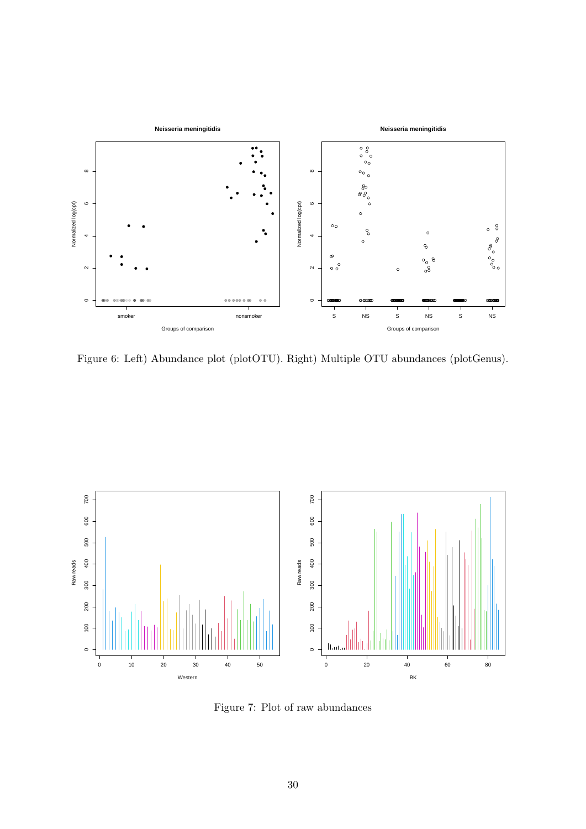

Figure 6: Left) Abundance plot (plotOTU). Right) Multiple OTU abundances (plotGenus).



Figure 7: Plot of raw abundances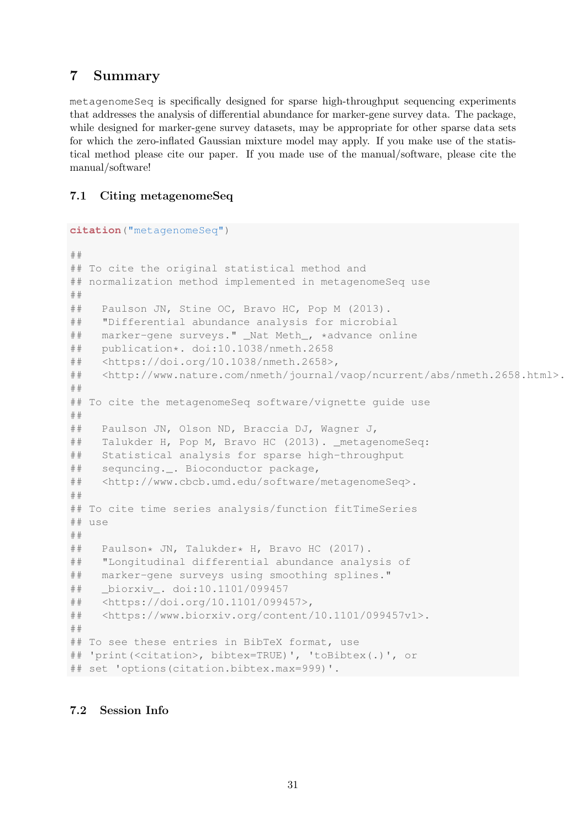# <span id="page-30-0"></span>7 Summary

metagenomeSeq is specifically designed for sparse high-throughput sequencing experiments that addresses the analysis of differential abundance for marker-gene survey data. The package, while designed for marker-gene survey datasets, may be appropriate for other sparse data sets for which the zero-inflated Gaussian mixture model may apply. If you make use of the statistical method please cite our paper. If you made use of the manual/software, please cite the manual/software!

# <span id="page-30-1"></span>7.1 Citing metagenomeSeq

```
citation("metagenomeSeq")
##
## To cite the original statistical method and
## normalization method implemented in metagenomeSeq use
##
## Paulson JN, Stine OC, Bravo HC, Pop M (2013).
## "Differential abundance analysis for microbial
## marker-gene surveys." _Nat Meth_, *advance online
## publication*. doi:10.1038/nmeth.2658
## <https://doi.org/10.1038/nmeth.2658>,
## <http://www.nature.com/nmeth/journal/vaop/ncurrent/abs/nmeth.2658.html>.
##
## To cite the metagenomeSeq software/vignette guide use
##
## Paulson JN, Olson ND, Braccia DJ, Wagner J,
## Talukder H, Pop M, Bravo HC (2013). _metagenomeSeq:
## Statistical analysis for sparse high-throughput
## sequncing._. Bioconductor package,
## <http://www.cbcb.umd.edu/software/metagenomeSeq>.
##
## To cite time series analysis/function fitTimeSeries
## use
##
## Paulson* JN, Talukder* H, Bravo HC (2017).
## "Longitudinal differential abundance analysis of
## marker-gene surveys using smoothing splines."
## _biorxiv_. doi:10.1101/099457
## <https://doi.org/10.1101/099457>,
## <https://www.biorxiv.org/content/10.1101/099457v1>.
##
## To see these entries in BibTeX format, use
## 'print(<citation>, bibtex=TRUE)', 'toBibtex(.)', or
## set 'options(citation.bibtex.max=999)'.
```
# <span id="page-30-2"></span>7.2 Session Info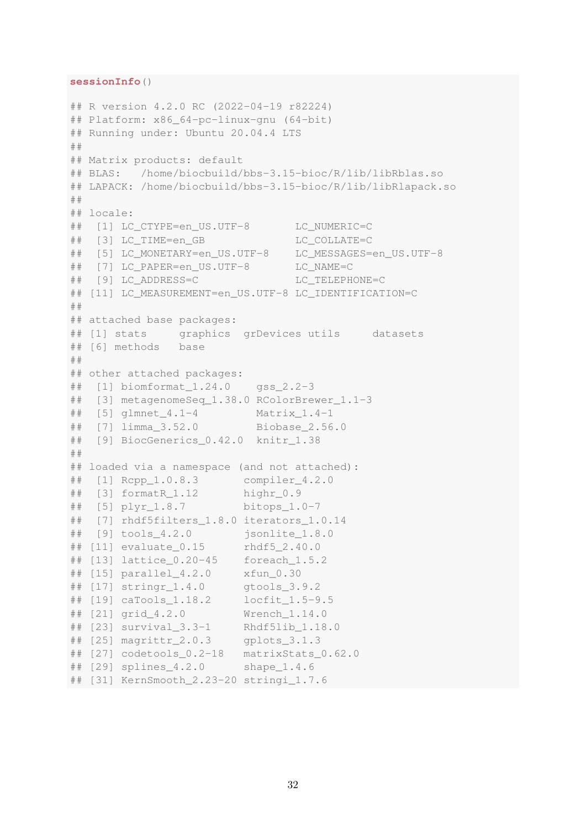#### **sessionInfo**()

```
## R version 4.2.0 RC (2022-04-19 r82224)
## Platform: x86_64-pc-linux-gnu (64-bit)
## Running under: Ubuntu 20.04.4 LTS
##
## Matrix products: default
## BLAS: /home/biocbuild/bbs-3.15-bioc/R/lib/libRblas.so
## LAPACK: /home/biocbuild/bbs-3.15-bioc/R/lib/libRlapack.so
##
## locale:
## [1] LC_CTYPE=en_US.UTF-8 LC_NUMERIC=C
## [3] LC_TIME=en_GB LC_COLLATE=C
## [5] LC_MONETARY=en_US.UTF-8 LC_MESSAGES=en_US.UTF-8
## [7] LC_PAPER=en_US.UTF-8 LC_NAME=C
## [9] LC_ADDRESS=C LC_TELEPHONE=C
## [11] LC_MEASUREMENT=en_US.UTF-8 LC_IDENTIFICATION=C
##
## attached base packages:
## [1] stats graphics grDevices utils datasets
## [6] methods base
##
## other attached packages:
\# [1] biomformat 1.24.0 gss 2.2-3
## [3] metagenomeSeq_1.38.0 RColorBrewer_1.1-3
## [5] glmnet_4.1-4 Matrix_1.4-1
## [7] limma_3.52.0 Biobase_2.56.0
## [9] BiocGenerics_0.42.0 knitr_1.38
##
## loaded via a namespace (and not attached):
## [1] Rcpp_1.0.8.3 compiler_4.2.0
## [3] formatR_1.12 highr_0.9
## [5] plyr_1.8.7 bitops_1.0-7
## [7] rhdf5filters_1.8.0 iterators_1.0.14
## [9] tools_4.2.0 jsonlite_1.8.0
## [11] evaluate_0.15 rhdf5_2.40.0
## [13] lattice 0.20-45 foreach 1.5.2
## [15] parallel_4.2.0 xfun_0.30
## [17] stringr_1.4.0 gtools_3.9.2
## [19] caTools_1.18.2 locfit_1.5-9.5
## [21] grid_4.2.0 Wrench_1.14.0
## [23] survival_3.3-1 Rhdf5lib_1.18.0
## [25] magrittr_2.0.3 gplots_3.1.3
## [27] codetools 0.2-18 matrixStats 0.62.0
## [29] splines_4.2.0 shape_1.4.6
## [31] KernSmooth_2.23-20 stringi_1.7.6
```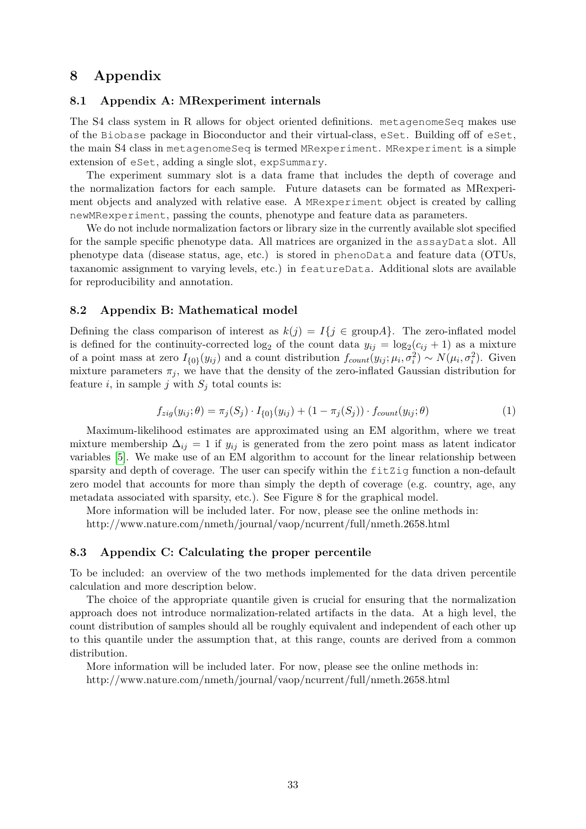# <span id="page-32-0"></span>8 Appendix

### <span id="page-32-1"></span>8.1 Appendix A: MRexperiment internals

The S4 class system in R allows for object oriented definitions. metagenomeSeq makes use of the Biobase package in Bioconductor and their virtual-class, eSet. Building off of eSet, the main S4 class in metagenomeSeq is termed MRexperiment. MRexperiment is a simple extension of eSet, adding a single slot, expSummary.

The experiment summary slot is a data frame that includes the depth of coverage and the normalization factors for each sample. Future datasets can be formated as MRexperiment objects and analyzed with relative ease. A MRexperiment object is created by calling newMRexperiment, passing the counts, phenotype and feature data as parameters.

We do not include normalization factors or library size in the currently available slot specified for the sample specific phenotype data. All matrices are organized in the assayData slot. All phenotype data (disease status, age, etc.) is stored in phenoData and feature data (OTUs, taxanomic assignment to varying levels, etc.) in featureData. Additional slots are available for reproducibility and annotation.

#### <span id="page-32-2"></span>8.2 Appendix B: Mathematical model

Defining the class comparison of interest as  $k(j) = I\{j \in \text{group} A\}$ . The zero-inflated model is defined for the continuity-corrected  $log_2$  of the count data  $y_{ij} = log_2(c_{ij} + 1)$  as a mixture of a point mass at zero  $I_{\{0\}}(y_{ij})$  and a count distribution  $f_{count}(y_{ij}; \mu_i, \sigma_i^2) \sim N(\mu_i, \sigma_i^2)$ . Given mixture parameters  $\pi_i$ , we have that the density of the zero-inflated Gaussian distribution for feature i, in sample j with  $S_i$  total counts is:

$$
f_{zig}(y_{ij};\theta) = \pi_j(S_j) \cdot I_{\{0\}}(y_{ij}) + (1 - \pi_j(S_j)) \cdot f_{count}(y_{ij};\theta)
$$
\n(1)

Maximum-likelihood estimates are approximated using an EM algorithm, where we treat mixture membership  $\Delta_{ij} = 1$  if  $y_{ij}$  is generated from the zero point mass as latent indicator variables [\[5\]](#page-34-4). We make use of an EM algorithm to account for the linear relationship between sparsity and depth of coverage. The user can specify within the fitzig function a non-default zero model that accounts for more than simply the depth of coverage (e.g. country, age, any metadata associated with sparsity, etc.). See Figure 8 for the graphical model.

More information will be included later. For now, please see the online methods in: http://www.nature.com/nmeth/journal/vaop/ncurrent/full/nmeth.2658.html

#### <span id="page-32-3"></span>8.3 Appendix C: Calculating the proper percentile

To be included: an overview of the two methods implemented for the data driven percentile calculation and more description below.

The choice of the appropriate quantile given is crucial for ensuring that the normalization approach does not introduce normalization-related artifacts in the data. At a high level, the count distribution of samples should all be roughly equivalent and independent of each other up to this quantile under the assumption that, at this range, counts are derived from a common distribution.

More information will be included later. For now, please see the online methods in: http://www.nature.com/nmeth/journal/vaop/ncurrent/full/nmeth.2658.html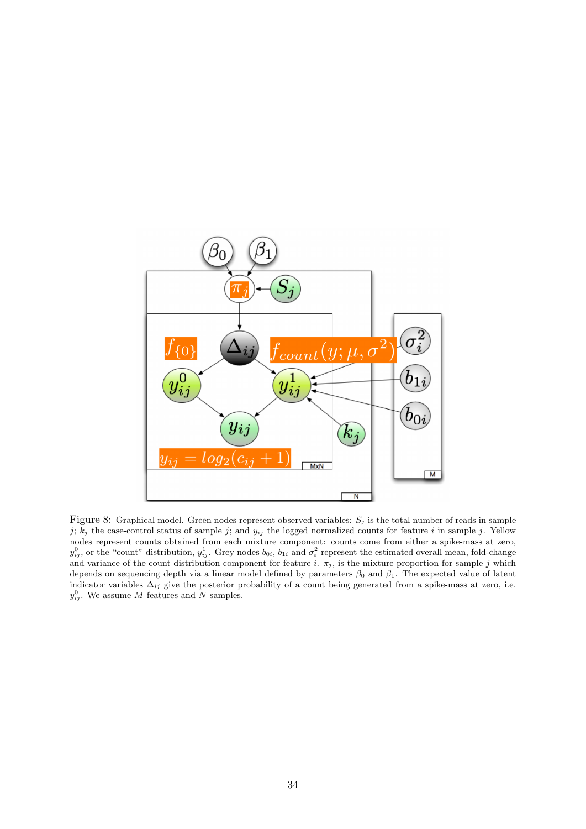

Figure 8: Graphical model. Green nodes represent observed variables:  $S_j$  is the total number of reads in sample j;  $k_j$  the case-control status of sample j; and  $y_{ij}$  the logged normalized counts for feature i in sample j. Yellow nodes represent counts obtained from each mixture component: counts come from either a spike-mass at zero,  $y_{ij}^0$ , or the "count" distribution,  $y_{ij}^1$ . Grey nodes  $b_{0i}$ ,  $b_{1i}$  and  $\sigma_i^2$  represent the estimated overall mean, fold-change and variance of the count distribution component for feature i.  $\pi_j$ , is the mixture proportion for sample j which depends on sequencing depth via a linear model defined by parameters  $\beta_0$  and  $\beta_1$ . The expected value of latent indicator variables  $\Delta_{ij}$  give the posterior probability of a count being generated from a spike-mass at zero, i.e.  $y_{ij}^0$ . We assume M features and N samples.